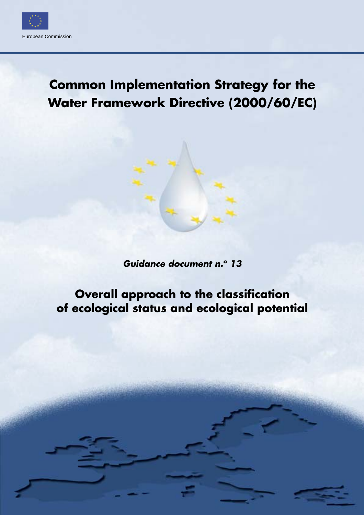

# **Common Implementation Strategy for the Water Framework Directive (2000/60/EC)**

*Guidance document n.o 13*

# **Overall approach to the classification of ecological status and ecological potential**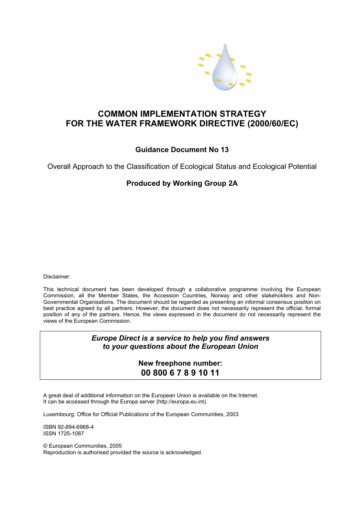

## **COMMON IMPLEMENTATION STRATEGY FOR THE WATER FRAMEWORK DIRECTIVE (2000/60/EC)**

#### **Guidance Document No 13**

Overall Approach to the Classification of Ecological Status and Ecological Potential

#### **Produced by Working Group 2A**

Disclaimer:

This technical document has been developed through a collaborative programme involving the European Commission, all the Member States, the Accession Countries, Norway and other stakeholders and Non-Governmental Organisations. The document should be regarded as presenting an informal consensus position on best practice agreed by all partners. However, the document does not necessarily represent the official, formal position of any of the partners. Hence, the views expressed in the document do not necessarily represent the views of the European Commission.

#### *Europe Direct is a service to help you find answers to your questions about the European Union*

#### **New freephone number: 00 800 6 7 8 9 10 11**

A great deal of additional information on the European Union is available on the Internet. It can be accessed through the Europa server (http://europa.eu.int).

Luxembourg: Office for Official Publications of the European Communities, 2003

ISBN 92-894-6968-4 ISSN 1725-1087

© European Communities, 2005 Reproduction is authorised provided the source is acknowledged.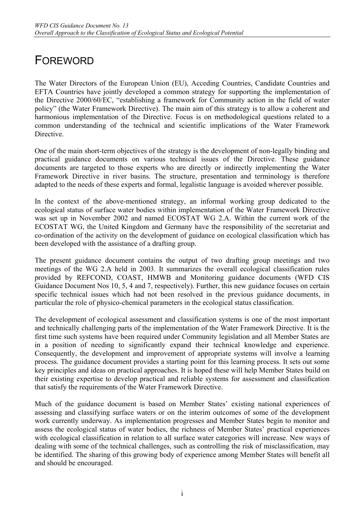# FOREWORD

The Water Directors of the European Union (EU), Acceding Countries, Candidate Countries and EFTA Countries have jointly developed a common strategy for supporting the implementation of the Directive 2000/60/EC, "establishing a framework for Community action in the field of water policy" (the Water Framework Directive). The main aim of this strategy is to allow a coherent and harmonious implementation of the Directive. Focus is on methodological questions related to a common understanding of the technical and scientific implications of the Water Framework **Directive** 

One of the main short-term objectives of the strategy is the development of non-legally binding and practical guidance documents on various technical issues of the Directive. These guidance documents are targeted to those experts who are directly or indirectly implementing the Water Framework Directive in river basins. The structure, presentation and terminology is therefore adapted to the needs of these experts and formal, legalistic language is avoided wherever possible.

In the context of the above-mentioned strategy, an informal working group dedicated to the ecological status of surface water bodies within implementation of the Water Framework Directive was set up in November 2002 and named ECOSTAT WG 2.A. Within the current work of the ECOSTAT WG, the United Kingdom and Germany have the responsibility of the secretariat and co-ordination of the activity on the development of guidance on ecological classification which has been developed with the assistance of a drafting group.

The present guidance document contains the output of two drafting group meetings and two meetings of the WG 2.A held in 2003. It summarizes the overall ecological classification rules provided by REFCOND, COAST, HMWB and Monitoring guidance documents (WFD CIS Guidance Document Nos 10, 5, 4 and 7, respectively). Further, this new guidance focuses on certain specific technical issues which had not been resolved in the previous guidance documents, in particular the role of physico-chemical parameters in the ecological status classification.

The development of ecological assessment and classification systems is one of the most important and technically challenging parts of the implementation of the Water Framework Directive. It is the first time such systems have been required under Community legislation and all Member States are in a position of needing to significantly expand their technical knowledge and experience. Consequently, the development and improvement of appropriate systems will involve a learning process. The guidance document provides a starting point for this learning process. It sets out some key principles and ideas on practical approaches. It is hoped these will help Member States build on their existing expertise to develop practical and reliable systems for assessment and classification that satisfy the requirements of the Water Framework Directive.

Much of the guidance document is based on Member States' existing national experiences of assessing and classifying surface waters or on the interim outcomes of some of the development work currently underway. As implementation progresses and Member States begin to monitor and assess the ecological status of water bodies, the richness of Member States' practical experiences with ecological classification in relation to all surface water categories will increase. New ways of dealing with some of the technical challenges, such as controlling the risk of misclassification, may be identified. The sharing of this growing body of experience among Member States will benefit all and should be encouraged.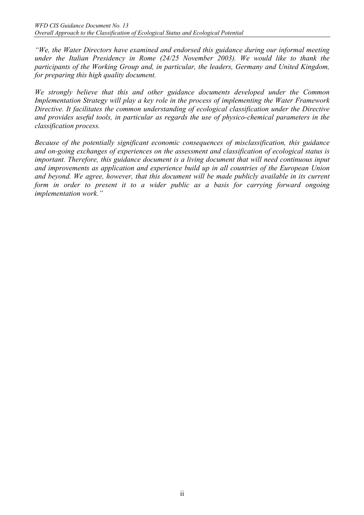*"We, the Water Directors have examined and endorsed this guidance during our informal meeting under the Italian Presidency in Rome (24/25 November 2003). We would like to thank the participants of the Working Group and, in particular, the leaders, Germany and United Kingdom, for preparing this high quality document.* 

*We strongly believe that this and other guidance documents developed under the Common Implementation Strategy will play a key role in the process of implementing the Water Framework Directive. It facilitates the common understanding of ecological classification under the Directive and provides useful tools, in particular as regards the use of physico-chemical parameters in the classification process.* 

*Because of the potentially significant economic consequences of misclassification, this guidance and on-going exchanges of experiences on the assessment and classification of ecological status is important. Therefore, this guidance document is a living document that will need continuous input and improvements as application and experience build up in all countries of the European Union and beyond. We agree, however, that this document will be made publicly available in its current form in order to present it to a wider public as a basis for carrying forward ongoing implementation work."*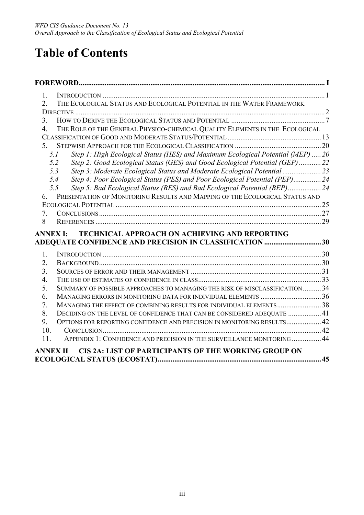# **Table of Contents**

| 1.                                    |                                                                                 |    |
|---------------------------------------|---------------------------------------------------------------------------------|----|
| $\overline{2}$ .                      | THE ECOLOGICAL STATUS AND ECOLOGICAL POTENTIAL IN THE WATER FRAMEWORK           |    |
|                                       |                                                                                 |    |
| 3 <sub>1</sub>                        |                                                                                 |    |
| $\overline{4}$ .                      | THE ROLE OF THE GENERAL PHYSICO-CHEMICAL QUALITY ELEMENTS IN THE ECOLOGICAL     |    |
|                                       |                                                                                 |    |
| 5 <sub>1</sub>                        |                                                                                 |    |
| 5.1                                   | Step 1: High Ecological Status (HES) and Maximum Ecological Potential (MEP)  20 |    |
| 5.2                                   | Step 2: Good Ecological Status (GES) and Good Ecological Potential (GEP) 22     |    |
| 5.3                                   |                                                                                 |    |
| 5.4                                   | Step 4: Poor Ecological Status (PES) and Poor Ecological Potential (PEP) 24     |    |
| 5.5                                   | Step 5: Bad Ecological Status (BES) and Bad Ecological Potential (BEP)24        |    |
| 6.                                    | PRESENTATION OF MONITORING RESULTS AND MAPPING OF THE ECOLOGICAL STATUS AND     |    |
|                                       |                                                                                 |    |
| $7_{\scriptscriptstyle{\ddot{\sim}}}$ |                                                                                 |    |
| 8                                     |                                                                                 |    |
| <b>ANNEX I:</b>                       | <b>TECHNICAL APPROACH ON ACHIEVING AND REPORTING</b>                            |    |
|                                       | ADEQUATE CONFIDENCE AND PRECISION IN CLASSIFICATION 30                          |    |
| 1.                                    |                                                                                 |    |
| 2.                                    |                                                                                 |    |
| 3 <sub>1</sub>                        |                                                                                 |    |
| 4.                                    |                                                                                 |    |
| 5.                                    | SUMMARY OF POSSIBLE APPROACHES TO MANAGING THE RISK OF MISCLASSIFICATION 34     |    |
| 6.                                    | MANAGING ERRORS IN MONITORING DATA FOR INDIVIDUAL ELEMENTS 36                   |    |
| 7.                                    | MANAGING THE EFFECT OF COMBINING RESULTS FOR INDIVIDUAL ELEMENTS38              |    |
| 8.                                    | DECIDING ON THE LEVEL OF CONFIDENCE THAT CAN BE CONSIDERED ADEQUATE  41         |    |
| 9.                                    | OPTIONS FOR REPORTING CONFIDENCE AND PRECISION IN MONITORING RESULTS 42         |    |
| 10.                                   |                                                                                 |    |
| 11.                                   | APPENDIX 1: CONFIDENCE AND PRECISION IN THE SURVEILLANCE MONITORING  44         |    |
| <b>ANNEX II</b>                       | <b>CIS 2A: LIST OF PARTICIPANTS OF THE WORKING GROUP ON</b>                     |    |
|                                       |                                                                                 | 45 |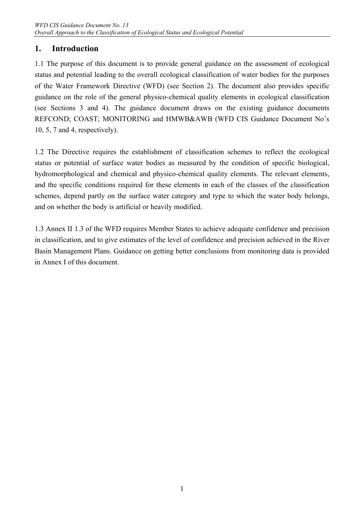## **1. Introduction**

1.1 The purpose of this document is to provide general guidance on the assessment of ecological status and potential leading to the overall ecological classification of water bodies for the purposes of the Water Framework Directive (WFD) (see Section 2). The document also provides specific guidance on the role of the general physico-chemical quality elements in ecological classification (see Sections 3 and 4). The guidance document draws on the existing guidance documents REFCOND; COAST; MONITORING and HMWB&AWB (WFD CIS Guidance Document No's 10, 5, 7 and 4, respectively).

1.2 The Directive requires the establishment of classification schemes to reflect the ecological status or potential of surface water bodies as measured by the condition of specific biological, hydromorphological and chemical and physico-chemical quality elements. The relevant elements, and the specific conditions required for these elements in each of the classes of the classification schemes, depend partly on the surface water category and type to which the water body belongs, and on whether the body is artificial or heavily modified.

1.3 Annex II 1.3 of the WFD requires Member States to achieve adequate confidence and precision in classification, and to give estimates of the level of confidence and precision achieved in the River Basin Management Plans. Guidance on getting better conclusions from monitoring data is provided in Annex I of this document.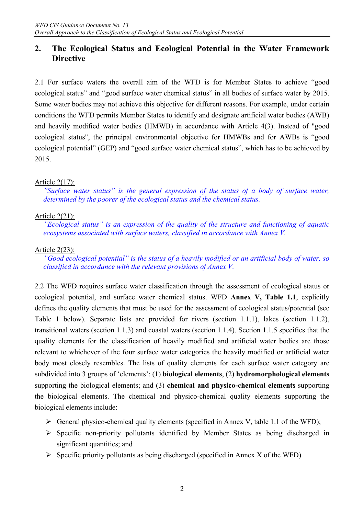## **2. The Ecological Status and Ecological Potential in the Water Framework Directive**

2.1 For surface waters the overall aim of the WFD is for Member States to achieve "good ecological status" and "good surface water chemical status" in all bodies of surface water by 2015. Some water bodies may not achieve this objective for different reasons. For example, under certain conditions the WFD permits Member States to identify and designate artificial water bodies (AWB) and heavily modified water bodies (HMWB) in accordance with Article 4(3). Instead of "good ecological status", the principal environmental objective for HMWBs and for AWBs is "good ecological potential" (GEP) and "good surface water chemical status", which has to be achieved by 2015.

#### Article 2(17):

*"Surface water status" is the general expression of the status of a body of surface water, determined by the poorer of the ecological status and the chemical status.* 

#### Article 2(21):

*"Ecological status" is an expression of the quality of the structure and functioning of aquatic ecosystems associated with surface waters, classified in accordance with Annex V.* 

#### Article 2(23):

*"Good ecological potential" is the status of a heavily modified or an artificial body of water, so classified in accordance with the relevant provisions of Annex V.* 

2.2 The WFD requires surface water classification through the assessment of ecological status or ecological potential, and surface water chemical status. WFD **Annex V, Table 1.1**, explicitly defines the quality elements that must be used for the assessment of ecological status/potential (see Table 1 below). Separate lists are provided for rivers (section 1.1.1), lakes (section 1.1.2), transitional waters (section 1.1.3) and coastal waters (section 1.1.4). Section 1.1.5 specifies that the quality elements for the classification of heavily modified and artificial water bodies are those relevant to whichever of the four surface water categories the heavily modified or artificial water body most closely resembles. The lists of quality elements for each surface water category are subdivided into 3 groups of 'elements': (1) **biological elements**, (2) **hydromorphological elements** supporting the biological elements; and (3) **chemical and physico-chemical elements** supporting the biological elements. The chemical and physico-chemical quality elements supporting the biological elements include:

- $\triangleright$  General physico-chemical quality elements (specified in Annex V, table 1.1 of the WFD);
- $\triangleright$  Specific non-priority pollutants identified by Member States as being discharged in significant quantities; and
- $\triangleright$  Specific priority pollutants as being discharged (specified in Annex X of the WFD)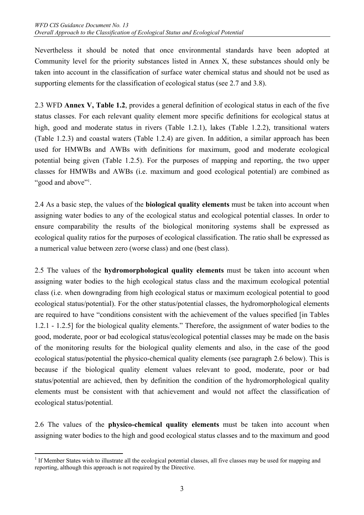Nevertheless it should be noted that once environmental standards have been adopted at Community level for the priority substances listed in Annex X, these substances should only be taken into account in the classification of surface water chemical status and should not be used as supporting elements for the classification of ecological status (see 2.7 and 3.8).

2.3 WFD **Annex V, Table 1.2**, provides a general definition of ecological status in each of the five status classes. For each relevant quality element more specific definitions for ecological status at high, good and moderate status in rivers (Table 1.2.1), lakes (Table 1.2.2), transitional waters (Table 1.2.3) and coastal waters (Table 1.2.4) are given. In addition, a similar approach has been used for HMWBs and AWBs with definitions for maximum, good and moderate ecological potential being given (Table 1.2.5). For the purposes of mapping and reporting, the two upper classes for HMWBs and AWBs (i.e. maximum and good ecological potential) are combined as "good and above"<sup>1</sup>.

2.4 As a basic step, the values of the **biological quality elements** must be taken into account when assigning water bodies to any of the ecological status and ecological potential classes. In order to ensure comparability the results of the biological monitoring systems shall be expressed as ecological quality ratios for the purposes of ecological classification. The ratio shall be expressed as a numerical value between zero (worse class) and one (best class).

2.5 The values of the **hydromorphological quality elements** must be taken into account when assigning water bodies to the high ecological status class and the maximum ecological potential class (i.e. when downgrading from high ecological status or maximum ecological potential to good ecological status/potential). For the other status/potential classes, the hydromorphological elements are required to have "conditions consistent with the achievement of the values specified [in Tables 1.2.1 - 1.2.5] for the biological quality elements." Therefore, the assignment of water bodies to the good, moderate, poor or bad ecological status/ecological potential classes may be made on the basis of the monitoring results for the biological quality elements and also, in the case of the good ecological status/potential the physico-chemical quality elements (see paragraph 2.6 below). This is because if the biological quality element values relevant to good, moderate, poor or bad status/potential are achieved, then by definition the condition of the hydromorphological quality elements must be consistent with that achievement and would not affect the classification of ecological status/potential.

2.6 The values of the **physico-chemical quality elements** must be taken into account when assigning water bodies to the high and good ecological status classes and to the maximum and good

 $\overline{a}$ <sup>1</sup> If Member States wish to illustrate all the ecological potential classes, all five classes may be used for mapping and reporting, although this approach is not required by the Directive.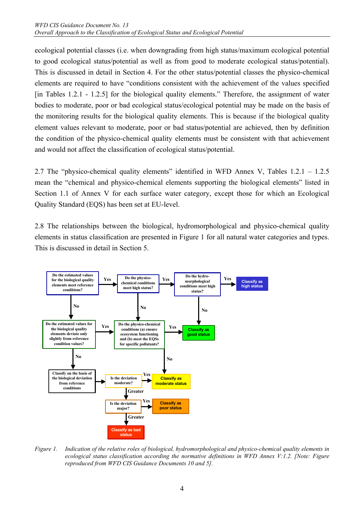ecological potential classes (i.e. when downgrading from high status/maximum ecological potential to good ecological status/potential as well as from good to moderate ecological status/potential). This is discussed in detail in Section 4. For the other status/potential classes the physico-chemical elements are required to have "conditions consistent with the achievement of the values specified [in Tables 1.2.1 - 1.2.5] for the biological quality elements." Therefore, the assignment of water bodies to moderate, poor or bad ecological status/ecological potential may be made on the basis of the monitoring results for the biological quality elements. This is because if the biological quality element values relevant to moderate, poor or bad status/potential are achieved, then by definition the condition of the physico-chemical quality elements must be consistent with that achievement and would not affect the classification of ecological status/potential.

2.7 The "physico-chemical quality elements" identified in WFD Annex V, Tables 1.2.1 – 1.2.5 mean the "chemical and physico-chemical elements supporting the biological elements" listed in Section 1.1 of Annex V for each surface water category, except those for which an Ecological Quality Standard (EQS) has been set at EU-level.

2.8 The relationships between the biological, hydromorphological and physico-chemical quality elements in status classification are presented in Figure 1 for all natural water categories and types. This is discussed in detail in Section 5.



*Figure 1. Indication of the relative roles of biological, hydromorphological and physico-chemical quality elements in ecological status classification according the normative definitions in WFD Annex V:1.2. [Note: Figure reproduced from WFD CIS Guidance Documents 10 and 5].*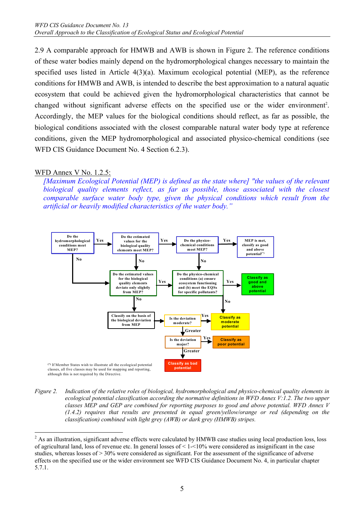2.9 A comparable approach for HMWB and AWB is shown in Figure 2. The reference conditions of these water bodies mainly depend on the hydromorphological changes necessary to maintain the specified uses listed in Article 4(3)(a). Maximum ecological potential (MEP), as the reference conditions for HMWB and AWB, is intended to describe the best approximation to a natural aquatic ecosystem that could be achieved given the hydromorphological characteristics that cannot be changed without significant adverse effects on the specified use or the wider environment<sup>2</sup>. Accordingly, the MEP values for the biological conditions should reflect, as far as possible, the biological conditions associated with the closest comparable natural water body type at reference conditions, given the MEP hydromorphological and associated physico-chemical conditions (see WFD CIS Guidance Document No. 4 Section 6.2.3).

#### WFD Annex V No. 1.2.5:

*[Maximum Ecological Potential (MEP) is defined as the state where] "the values of the relevant biological quality elements reflect, as far as possible, those associated with the closest comparable surface water body type, given the physical conditions which result from the artificial or heavily modified characteristics of the water body."* 



*Figure 2. Indication of the relative roles of biological, hydromorphological and physico-chemical quality elements in ecological potential classification according the normative definitions in WFD Annex V:1.2. The two upper classes MEP and GEP are combined for reporting purposes to good and above potential. WFD Annex V (1.4.2) requires that results are presented in equal green/yellow/orange or red (depending on the classification) combined with light grey (AWB) or dark grey (HMWB) stripes.* 

 $\overline{a}$  $2$  As an illustration, significant adverse effects were calculated by HMWB case studies using local production loss, loss of agricultural land, loss of revenue etc. In general losses of  $\leq 1 - \leq 10\%$  were considered as insignificant in the case studies, whereas losses of  $> 30\%$  were considered as significant. For the assessment of the significance of adverse effects on the specified use or the wider environment see WFD CIS Guidance Document No. 4, in particular chapter 5.7.1.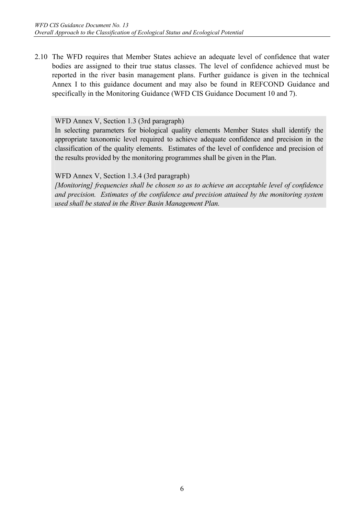2.10 The WFD requires that Member States achieve an adequate level of confidence that water bodies are assigned to their true status classes. The level of confidence achieved must be reported in the river basin management plans. Further guidance is given in the technical Annex I to this guidance document and may also be found in REFCOND Guidance and specifically in the Monitoring Guidance (WFD CIS Guidance Document 10 and 7).

#### WFD Annex V, Section 1.3 (3rd paragraph)

In selecting parameters for biological quality elements Member States shall identify the appropriate taxonomic level required to achieve adequate confidence and precision in the classification of the quality elements. Estimates of the level of confidence and precision of the results provided by the monitoring programmes shall be given in the Plan.

WFD Annex V, Section 1.3.4 (3rd paragraph)

*[Monitoring] frequencies shall be chosen so as to achieve an acceptable level of confidence and precision. Estimates of the confidence and precision attained by the monitoring system used shall be stated in the River Basin Management Plan.*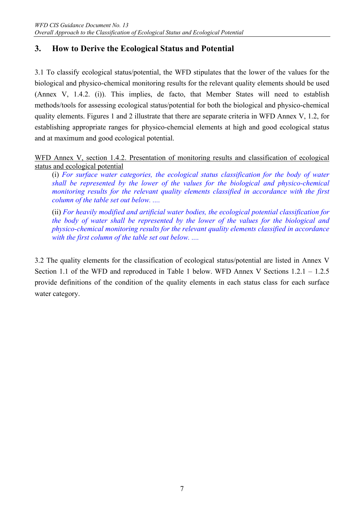## **3. How to Derive the Ecological Status and Potential**

3.1 To classify ecological status/potential, the WFD stipulates that the lower of the values for the biological and physico-chemical monitoring results for the relevant quality elements should be used (Annex V, 1.4.2. (i)). This implies, de facto, that Member States will need to establish methods/tools for assessing ecological status/potential for both the biological and physico-chemical quality elements. Figures 1 and 2 illustrate that there are separate criteria in WFD Annex V, 1.2, for establishing appropriate ranges for physico-chemcial elements at high and good ecological status and at maximum and good ecological potential.

WFD Annex V, section 1.4.2. Presentation of monitoring results and classification of ecological status and ecological potential

(i) *For surface water categories, the ecological status classification for the body of water shall be represented by the lower of the values for the biological and physico-chemical monitoring results for the relevant quality elements classified in accordance with the first column of the table set out below. ....* 

(ii) *For heavily modified and artificial water bodies, the ecological potential classification for the body of water shall be represented by the lower of the values for the biological and physico-chemical monitoring results for the relevant quality elements classified in accordance*  with the first column of the table set out below. ....

3.2 The quality elements for the classification of ecological status/potential are listed in Annex V Section 1.1 of the WFD and reproduced in Table 1 below. WFD Annex V Sections 1.2.1 – 1.2.5 provide definitions of the condition of the quality elements in each status class for each surface water category.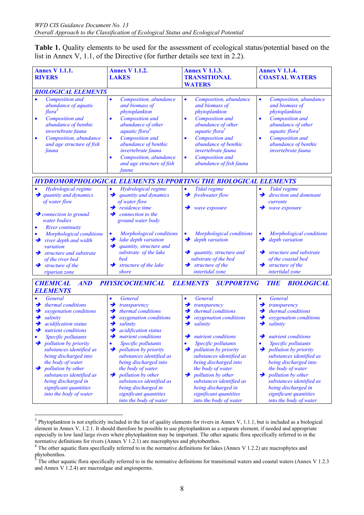**Table 1.** Quality elements to be used for the assessment of ecological status/potential based on the list in Annex V, 1.1, of the Directive (for further details see text in 2.2).

| <b>Annex V 1.1.1.</b><br><b>RIVERS</b>                                                                                                                                                                                                                                                                                                                                                             | <b>Annex V 1.1.2.</b><br><b>LAKES</b>                                                                                                                                                                                                                                                                                                                                                                               | <b>Annex V 1.1.3.</b><br><b>TRANSITIONAL</b><br><b>WATERS</b>                                                                                                                                                                                                                                                                                                                      | <b>Annex V 1.1.4.</b><br><b>COASTAL WATERS</b>                                                                                                                                                                                                                                                                                                                                                        |  |
|----------------------------------------------------------------------------------------------------------------------------------------------------------------------------------------------------------------------------------------------------------------------------------------------------------------------------------------------------------------------------------------------------|---------------------------------------------------------------------------------------------------------------------------------------------------------------------------------------------------------------------------------------------------------------------------------------------------------------------------------------------------------------------------------------------------------------------|------------------------------------------------------------------------------------------------------------------------------------------------------------------------------------------------------------------------------------------------------------------------------------------------------------------------------------------------------------------------------------|-------------------------------------------------------------------------------------------------------------------------------------------------------------------------------------------------------------------------------------------------------------------------------------------------------------------------------------------------------------------------------------------------------|--|
| <b>BIOLOGICAL ELEMENTS</b>                                                                                                                                                                                                                                                                                                                                                                         |                                                                                                                                                                                                                                                                                                                                                                                                                     |                                                                                                                                                                                                                                                                                                                                                                                    |                                                                                                                                                                                                                                                                                                                                                                                                       |  |
| <b>Composition</b> and<br>abundance of aquatic<br>flora <sup>3</sup><br>Composition and<br>$\bullet$<br>abundance of benthic<br>invertebrate fauna<br>Composition, abundance<br>$\bullet$<br>and age structure of fish<br>fauna                                                                                                                                                                    | $\bullet$<br>Composition, abundance<br>and biomass of<br>phytoplankton<br><b>Composition</b> and<br>$\bullet$<br>abundance of other<br>aquatic flora <sup>4</sup><br><b>Composition</b> and<br>$\bullet$<br>abundance of benthic<br>invertebrate fauna<br>Composition, abundance<br>$\bullet$<br>and age structure of fish<br>fauna                                                                                 | Composition, abundance<br>$\bullet$<br>and biomass of<br>phytoplankton<br>Composition and<br>$\bullet$<br>abundance of other<br>aquatic flora <sup>5</sup><br>Composition and<br>$\bullet$<br>abundance of benthic<br>invertebrate fauna<br>$\bullet$<br>Composition and<br>abundance of fish fauna                                                                                | Composition, abundance<br>$\bullet$<br>and biomass of<br>phytoplankton<br>Composition and<br>$\bullet$<br>abundance of other<br>aquatic flora <sup>5</sup><br>Composition and<br>$\bullet$<br>abundance of benthic<br>invertebrate fauna                                                                                                                                                              |  |
|                                                                                                                                                                                                                                                                                                                                                                                                    | HYDROMORPHOLOGICAL ELEMENTS SUPPORTING THE BIOLOGICAL ELEMENTS                                                                                                                                                                                                                                                                                                                                                      |                                                                                                                                                                                                                                                                                                                                                                                    |                                                                                                                                                                                                                                                                                                                                                                                                       |  |
| Hydrological regime<br>$\rightarrow$ quantity and dynamics<br>of water flow<br>$\rightarrow$ connection to ground<br>water bodies                                                                                                                                                                                                                                                                  | Hydrological regime<br>$\bullet$<br>quantity and dynamics<br>→<br>of water flow<br>residence time<br>→<br>connection to the<br>→<br>ground water body                                                                                                                                                                                                                                                               | Tidal regime<br>$\bullet$<br>freshwater flow<br>→<br>wave exposure                                                                                                                                                                                                                                                                                                                 | Tidal regime<br>$\bullet$<br>direction and dominant<br>→<br>currents<br>→<br>wave exposure                                                                                                                                                                                                                                                                                                            |  |
| <b>River continuity</b><br>Morphological conditions<br>river depth and width<br>→<br>variation<br>$\rightarrow$ structure and substrate<br>of the river bed<br>$\rightarrow$ structure of the<br>riparian zone                                                                                                                                                                                     | Morphological conditions<br>$\bullet$<br>lake depth variation<br>→<br>→<br>quantity, structure and<br>substrate of the lake<br>bed<br>structure of the lake<br>→<br>shore                                                                                                                                                                                                                                           | Morphological conditions<br>$\bullet$<br>depth variation<br>→<br>quantity, structure and<br>→<br>substrate of the bed<br>structure of the<br>→<br>intertidal zone                                                                                                                                                                                                                  | Morphological conditions<br>$\bullet$<br>depth variation<br>→<br>structure and substrate<br>→<br>of the coastal bed<br>$\rightarrow$ structure of the<br>intertidal zone                                                                                                                                                                                                                              |  |
| <b>CHEMICAL</b><br>AND<br><b>ELEMENTS</b>                                                                                                                                                                                                                                                                                                                                                          | <b>PHYSICOCHEMICAL</b>                                                                                                                                                                                                                                                                                                                                                                                              | <b>ELEMENTS</b><br><b>SUPPORTING</b>                                                                                                                                                                                                                                                                                                                                               | <b>BIOLOGICAL</b><br><b>THE</b>                                                                                                                                                                                                                                                                                                                                                                       |  |
| General<br>thermal conditions<br>→<br>oxygenation conditions<br>→<br>salinity<br>→<br>acidification status<br>→<br>nutrient conditions<br>→<br>Specific pollutants<br>$\rightarrow$ pollution by priority<br>substances identified as<br>being discharged into<br>the body of water<br><i>pollution by other</i><br>→<br>substances identified as<br>being discharged in<br>significant quantities | General<br>$\bullet$<br>$\rightarrow$<br>transparency<br>→<br>thermal conditions<br>→<br>oxygenation conditions<br>→<br>salinity<br>→<br>acidification status<br>→<br>nutrient conditions<br>Specific pollutants<br>$\bullet$<br>pollution by priority<br>→<br>substances identified as<br>being discharged into<br>the body of water<br>pollution by other<br>→<br>substances identified as<br>being discharged in | General<br>٠<br>→<br>transparency<br>thermal conditions<br>→<br>oxygenation conditions<br>→<br>→<br>salinity<br>$\rightarrow$ nutrient conditions<br>Specific pollutants<br>$\bullet$<br><i>pollution by priority</i><br>→<br>substances identified as<br>being discharged into<br>the body of water<br>pollution by other<br>→<br>substances identified as<br>being discharged in | General<br>$\bullet$<br>→<br>transparency<br>thermal conditions<br>→<br>oxygenation conditions<br>→<br>→<br>salinity<br>$\rightarrow$ nutrient conditions<br>Specific pollutants<br>$\bullet$<br>$\rightarrow$ pollution by priority<br>substances identified as<br>being discharged into<br>the body of water<br>$\rightarrow$ pollution by other<br>substances identified as<br>being discharged in |  |

 *significant quantities into the body of water*   *significant quantities into the body of water* 

 *significant quantities into the body of water* 

 *into the body of water* 

 $\overline{a}$ 

<sup>&</sup>lt;sup>3</sup> Phytoplankton is not explicitly included in the list of quality elements for rivers in Annex V, 1.1.1, but is included as a biological element in Annex V, 1.2.1. It should therefore be possible to use phytoplankton as a separate element, if needed and appropriate especially in low land large rivers where phytoplankton may be important. The other aquatic flora specifically referred to in the normative definitions for rivers (Annex V 1.2.1) are macrophytes and phytobenthos.

<sup>&</sup>lt;sup>4</sup> The other aquatic flora specifically referred to in the normative definitions for lakes (Annex V 1.2.2) are macrophytes and phytobenthos.

<sup>5</sup> The other aquatic flora specifically referred to in the normative definitions for transitional waters and coastal waters (Annex V 1.2.3 and Annex V 1.2.4) are macroalgae and angiosperms.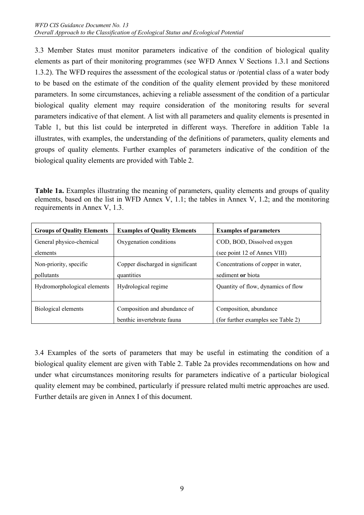3.3 Member States must monitor parameters indicative of the condition of biological quality elements as part of their monitoring programmes (see WFD Annex V Sections 1.3.1 and Sections 1.3.2). The WFD requires the assessment of the ecological status or /potential class of a water body to be based on the estimate of the condition of the quality element provided by these monitored parameters. In some circumstances, achieving a reliable assessment of the condition of a particular biological quality element may require consideration of the monitoring results for several parameters indicative of that element. A list with all parameters and quality elements is presented in Table 1, but this list could be interpreted in different ways. Therefore in addition Table 1a illustrates, with examples, the understanding of the definitions of parameters, quality elements and groups of quality elements. Further examples of parameters indicative of the condition of the biological quality elements are provided with Table 2.

**Table 1a.** Examples illustrating the meaning of parameters, quality elements and groups of quality elements, based on the list in WFD Annex V, 1.1; the tables in Annex V, 1.2; and the monitoring requirements in Annex V, 1.3.

| <b>Groups of Quality Elements</b> | <b>Examples of Quality Elements</b> | <b>Examples of parameters</b>      |
|-----------------------------------|-------------------------------------|------------------------------------|
| General physico-chemical          | Oxygenation conditions              | COD, BOD, Dissolved oxygen         |
| elements                          |                                     | (see point 12 of Annex VIII)       |
| Non-priority, specific            | Copper discharged in significant    | Concentrations of copper in water, |
| pollutants                        | quantities                          | sediment or biota                  |
| Hydromorphological elements       | Hydrological regime                 | Quantity of flow, dynamics of flow |
|                                   |                                     |                                    |
| Biological elements               | Composition and abundance of        | Composition, abundance             |
|                                   | benthic invertebrate fauna          | (for further examples see Table 2) |

3.4 Examples of the sorts of parameters that may be useful in estimating the condition of a biological quality element are given with Table 2. Table 2a provides recommendations on how and under what circumstances monitoring results for parameters indicative of a particular biological quality element may be combined, particularly if pressure related multi metric approaches are used. Further details are given in Annex I of this document.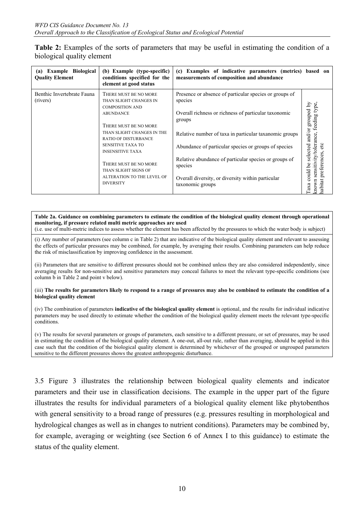| <b>Table 2:</b> Examples of the sorts of parameters that may be useful in estimating the condition of a |  |  |  |  |
|---------------------------------------------------------------------------------------------------------|--|--|--|--|
| biological quality element                                                                              |  |  |  |  |

| <b>Example Biological</b><br>(a)<br><b>Quality Element</b> | (b) Example (type-specific)<br>conditions specified for the<br>element at good status                                                                                                                                                                                                                                                         | (c) Examples of indicative parameters (metrics) based on<br>measurements of composition and abundance                                                                                                                                                                                                                                                                                              |                                                                                                                                                                     |
|------------------------------------------------------------|-----------------------------------------------------------------------------------------------------------------------------------------------------------------------------------------------------------------------------------------------------------------------------------------------------------------------------------------------|----------------------------------------------------------------------------------------------------------------------------------------------------------------------------------------------------------------------------------------------------------------------------------------------------------------------------------------------------------------------------------------------------|---------------------------------------------------------------------------------------------------------------------------------------------------------------------|
| Benthic Invertebrate Fauna<br>(rivers)                     | THERE MUST BE NO MORE<br>THAN SLIGHT CHANGES IN<br><b>COMPOSITION AND</b><br><b>ABUNDANCE</b><br>THERE MUST BE NO MORE<br>THAN SLIGHT CHANGES IN THE<br><b>RATIO OF DISTURBANCE</b><br><b>SENSITIVE TAXA TO</b><br><b>INSENSITIVE TAXA</b><br>THERE MUST BE NO MORE<br>THAN SLIGHT SIGNS OF<br>ALTERATION TO THE LEVEL OF<br><b>DIVERSITY</b> | Presence or absence of particular species or groups of<br>species<br>Overall richness or richness of particular taxonomic<br>groups<br>Relative number of taxa in particular taxanomic groups<br>Abundance of particular species or groups of species<br>Relative abundance of particular species or groups of<br>species<br>Overall diversity, or diversity within particular<br>taxonomic groups | grouped by<br>type,<br>feeding<br>and/or<br>sensitivity/tolerance,<br>etc<br>selected<br>preferences,<br><b>be</b><br>$_{\rm outd}$<br>nabitat<br>ō<br>chown<br>axa |

#### **Table 2a. Guidance on combining parameters to estimate the condition of the biological quality element through operational monitoring, if pressure related multi metric approaches are used**

(i.e. use of multi-metric indices to assess whether the element has been affected by the pressures to which the water body is subject)

(i) Any number of parameters (see column c in Table 2) that are indicative of the biological quality element and relevant to assessing the effects of particular pressures may be combined, for example, by averaging their results. Combining parameters can help reduce the risk of misclassification by improving confidence in the assessment.

(ii) Parameters that are sensitive to different pressures should not be combined unless they are also considered independently, since averaging results for non-sensitive and sensitive parameters may conceal failures to meet the relevant type-specific conditions (see column b in Table 2 and point v below).

#### (iii) **The results for parameters likely to respond to a range of pressures may also be combined to estimate the condition of a biological quality element**

(iv) The combination of parameters **indicative of the biological quality element** is optional, and the results for individual indicative parameters may be used directly to estimate whether the condition of the biological quality element meets the relevant type-specific conditions.

(v) The results for several parameters or groups of parameters, each sensitive to a different pressure, or set of pressures, may be used in estimating the condition of the biological quality element. A one-out, all-out rule, rather than averaging, should be applied in this case such that the condition of the biological quality element is determined by whichever of the grouped or ungrouped parameters sensitive to the different pressures shows the greatest anthropogenic disturbance.

3.5 Figure 3 illustrates the relationship between biological quality elements and indicator parameters and their use in classification decisions. The example in the upper part of the figure illustrates the results for individual parameters of a biological quality element like phytobenthos with general sensitivity to a broad range of pressures (e.g. pressures resulting in morphological and hydrological changes as well as in changes to nutrient conditions). Parameters may be combined by, for example, averaging or weighting (see Section 6 of Annex I to this guidance) to estimate the status of the quality element.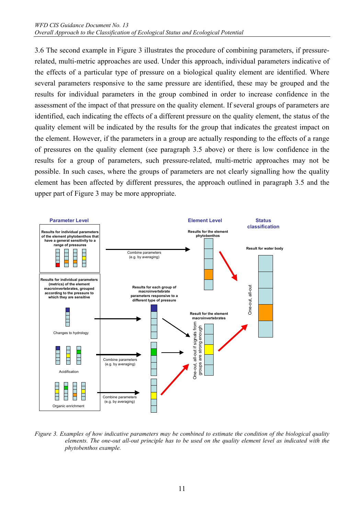3.6 The second example in Figure 3 illustrates the procedure of combining parameters, if pressurerelated, multi-metric approaches are used. Under this approach, individual parameters indicative of the effects of a particular type of pressure on a biological quality element are identified. Where several parameters responsive to the same pressure are identified, these may be grouped and the results for individual parameters in the group combined in order to increase confidence in the assessment of the impact of that pressure on the quality element. If several groups of parameters are identified, each indicating the effects of a different pressure on the quality element, the status of the quality element will be indicated by the results for the group that indicates the greatest impact on the element. However, if the parameters in a group are actually responding to the effects of a range of pressures on the quality element (see paragraph 3.5 above) or there is low confidence in the results for a group of parameters, such pressure-related, multi-metric approaches may not be possible. In such cases, where the groups of parameters are not clearly signalling how the quality element has been affected by different pressures, the approach outlined in paragraph 3.5 and the upper part of Figure 3 may be more appropriate.



*Figure 3. Examples of how indicative parameters may be combined to estimate the condition of the biological quality elements. The one-out all-out principle has to be used on the quality element level as indicated with the phytobenthos example.*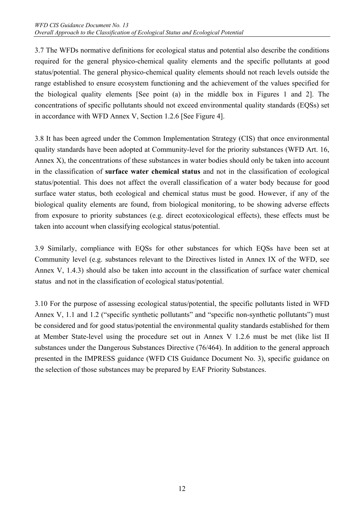3.7 The WFDs normative definitions for ecological status and potential also describe the conditions required for the general physico-chemical quality elements and the specific pollutants at good status/potential. The general physico-chemical quality elements should not reach levels outside the range established to ensure ecosystem functioning and the achievement of the values specified for the biological quality elements [See point (a) in the middle box in Figures 1 and 2]. The concentrations of specific pollutants should not exceed environmental quality standards (EQSs) set in accordance with WFD Annex V, Section 1.2.6 [See Figure 4].

3.8 It has been agreed under the Common Implementation Strategy (CIS) that once environmental quality standards have been adopted at Community-level for the priority substances (WFD Art. 16, Annex X), the concentrations of these substances in water bodies should only be taken into account in the classification of **surface water chemical status** and not in the classification of ecological status/potential. This does not affect the overall classification of a water body because for good surface water status, both ecological and chemical status must be good. However, if any of the biological quality elements are found, from biological monitoring, to be showing adverse effects from exposure to priority substances (e.g. direct ecotoxicological effects), these effects must be taken into account when classifying ecological status/potential.

3.9 Similarly, compliance with EQSs for other substances for which EQSs have been set at Community level (e.g. substances relevant to the Directives listed in Annex IX of the WFD, see Annex V, 1.4.3) should also be taken into account in the classification of surface water chemical status and not in the classification of ecological status/potential.

3.10 For the purpose of assessing ecological status/potential, the specific pollutants listed in WFD Annex V, 1.1 and 1.2 ("specific synthetic pollutants" and "specific non-synthetic pollutants") must be considered and for good status/potential the environmental quality standards established for them at Member State-level using the procedure set out in Annex V 1.2.6 must be met (like list II substances under the Dangerous Substances Directive (76/464). In addition to the general approach presented in the IMPRESS guidance (WFD CIS Guidance Document No. 3), specific guidance on the selection of those substances may be prepared by EAF Priority Substances.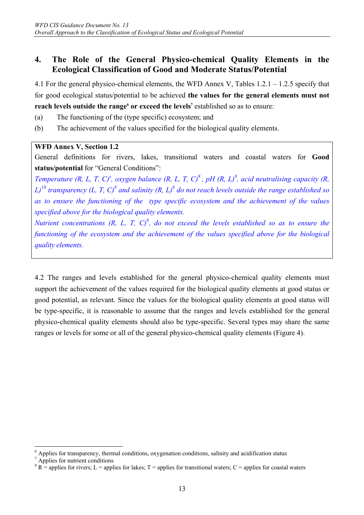### **4. The Role of the General Physico-chemical Quality Elements in the Ecological Classification of Good and Moderate Status/Potential**

4.1 For the general physico-chemical elements, the WFD Annex V, Tables 1.2.1 – 1.2.5 specify that for good ecological status/potential to be achieved **the values for the general elements must not reach levels outside the range<sup>6</sup> or exceed the levels<sup>7</sup> established so as to ensure:** 

- (a) The functioning of the (type specific) ecosystem; and
- (b) The achievement of the values specified for the biological quality elements.

#### **WFD Annex V, Section 1.2**

General definitions for rivers, lakes, transitional waters and coastal waters for **Good status/potential** for "General Conditions":

*Temperature (R, L, T, C)<sup>8</sup>, oxygen balance (R, L, T, C)<sup>8</sup>, pH (R, L)<sup>8</sup>, acid neutralising capacity (R,*  $L$ )<sup>10</sup> transparency (L, T, C)<sup>8</sup> and salinity (R, L)<sup>8</sup> do not reach levels outside the range established so *as to ensure the functioning of the type specific ecosystem and the achievement of the values specified above for the biological quality elements.* 

*Nutrient concentrations (R, L, T, C)<sup>8</sup>, do not exceed the levels established so as to ensure the functioning of the ecosystem and the achievement of the values specified above for the biological quality elements.* 

4.2 The ranges and levels established for the general physico-chemical quality elements must support the achievement of the values required for the biological quality elements at good status or good potential, as relevant. Since the values for the biological quality elements at good status will be type-specific, it is reasonable to assume that the ranges and levels established for the general physico-chemical quality elements should also be type-specific. Several types may share the same ranges or levels for some or all of the general physico-chemical quality elements (Figure 4).

 $\overline{a}$ 

<sup>&</sup>lt;sup>6</sup> Applies for transparency, thermal conditions, oxygenation conditions, salinity and acidification status

<sup>7</sup> Applies for nutrient conditions

 $8 R =$  applies for rivers; L = applies for lakes; T = applies for transitional waters; C = applies for coastal waters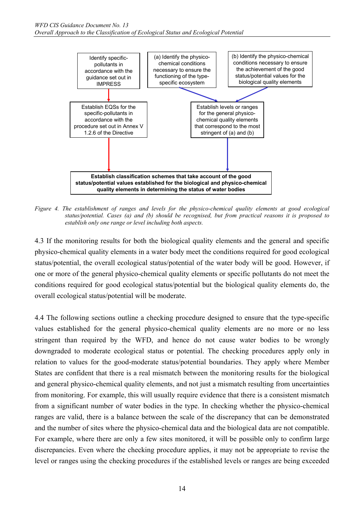

*Figure 4. The establishment of ranges and levels for the physico-chemical quality elements at good ecological status/potential. Cases (a) and (b) should be recognised, but from practical reasons it is proposed to establish only one range or level including both aspects.* 

4.3 If the monitoring results for both the biological quality elements and the general and specific physico-chemical quality elements in a water body meet the conditions required for good ecological status/potential, the overall ecological status/potential of the water body will be good. However, if one or more of the general physico-chemical quality elements or specific pollutants do not meet the conditions required for good ecological status/potential but the biological quality elements do, the overall ecological status/potential will be moderate.

4.4 The following sections outline a checking procedure designed to ensure that the type-specific values established for the general physico-chemical quality elements are no more or no less stringent than required by the WFD, and hence do not cause water bodies to be wrongly downgraded to moderate ecological status or potential. The checking procedures apply only in relation to values for the good-moderate status/potential boundaries. They apply where Member States are confident that there is a real mismatch between the monitoring results for the biological and general physico-chemical quality elements, and not just a mismatch resulting from uncertainties from monitoring. For example, this will usually require evidence that there is a consistent mismatch from a significant number of water bodies in the type. In checking whether the physico-chemical ranges are valid, there is a balance between the scale of the discrepancy that can be demonstrated and the number of sites where the physico-chemical data and the biological data are not compatible. For example, where there are only a few sites monitored, it will be possible only to confirm large discrepancies. Even where the checking procedure applies, it may not be appropriate to revise the level or ranges using the checking procedures if the established levels or ranges are being exceeded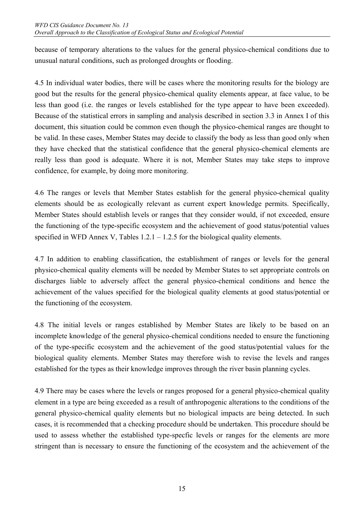because of temporary alterations to the values for the general physico-chemical conditions due to unusual natural conditions, such as prolonged droughts or flooding.

4.5 In individual water bodies, there will be cases where the monitoring results for the biology are good but the results for the general physico-chemical quality elements appear, at face value, to be less than good (i.e. the ranges or levels established for the type appear to have been exceeded). Because of the statistical errors in sampling and analysis described in section 3.3 in Annex I of this document, this situation could be common even though the physico-chemical ranges are thought to be valid. In these cases, Member States may decide to classify the body as less than good only when they have checked that the statistical confidence that the general physico-chemical elements are really less than good is adequate. Where it is not, Member States may take steps to improve confidence, for example, by doing more monitoring.

4.6 The ranges or levels that Member States establish for the general physico-chemical quality elements should be as ecologically relevant as current expert knowledge permits. Specifically, Member States should establish levels or ranges that they consider would, if not exceeded, ensure the functioning of the type-specific ecosystem and the achievement of good status/potential values specified in WFD Annex V, Tables  $1.2.1 - 1.2.5$  for the biological quality elements.

4.7 In addition to enabling classification, the establishment of ranges or levels for the general physico-chemical quality elements will be needed by Member States to set appropriate controls on discharges liable to adversely affect the general physico-chemical conditions and hence the achievement of the values specified for the biological quality elements at good status/potential or the functioning of the ecosystem.

4.8 The initial levels or ranges established by Member States are likely to be based on an incomplete knowledge of the general physico-chemical conditions needed to ensure the functioning of the type-specific ecosystem and the achievement of the good status/potential values for the biological quality elements. Member States may therefore wish to revise the levels and ranges established for the types as their knowledge improves through the river basin planning cycles.

4.9 There may be cases where the levels or ranges proposed for a general physico-chemical quality element in a type are being exceeded as a result of anthropogenic alterations to the conditions of the general physico-chemical quality elements but no biological impacts are being detected. In such cases, it is recommended that a checking procedure should be undertaken. This procedure should be used to assess whether the established type-specfic levels or ranges for the elements are more stringent than is necessary to ensure the functioning of the ecosystem and the achievement of the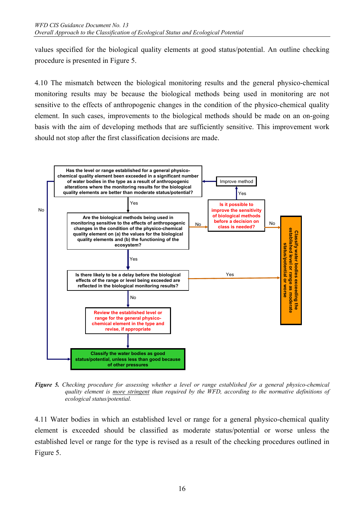values specified for the biological quality elements at good status/potential. An outline checking procedure is presented in Figure 5.

4.10 The mismatch between the biological monitoring results and the general physico-chemical monitoring results may be because the biological methods being used in monitoring are not sensitive to the effects of anthropogenic changes in the condition of the physico-chemical quality element. In such cases, improvements to the biological methods should be made on an on-going basis with the aim of developing methods that are sufficiently sensitive. This improvement work should not stop after the first classification decisions are made.



*Figure 5. Checking procedure for assessing whether a level or range established for a general physico-chemical quality element is more stringent than required by the WFD, according to the normative definitions of ecological status/potential.* 

4.11 Water bodies in which an established level or range for a general physico-chemical quality element is exceeded should be classified as moderate status/potential or worse unless the established level or range for the type is revised as a result of the checking procedures outlined in Figure 5.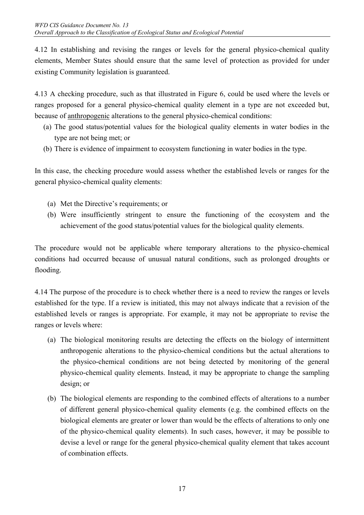4.12 In establishing and revising the ranges or levels for the general physico-chemical quality elements, Member States should ensure that the same level of protection as provided for under existing Community legislation is guaranteed.

4.13 A checking procedure, such as that illustrated in Figure 6, could be used where the levels or ranges proposed for a general physico-chemical quality element in a type are not exceeded but, because of anthropogenic alterations to the general physico-chemical conditions:

- (a) The good status/potential values for the biological quality elements in water bodies in the type are not being met; or
- (b) There is evidence of impairment to ecosystem functioning in water bodies in the type.

In this case, the checking procedure would assess whether the established levels or ranges for the general physico-chemical quality elements:

- (a) Met the Directive's requirements; or
- (b) Were insufficiently stringent to ensure the functioning of the ecosystem and the achievement of the good status/potential values for the biological quality elements.

The procedure would not be applicable where temporary alterations to the physico-chemical conditions had occurred because of unusual natural conditions, such as prolonged droughts or flooding.

4.14 The purpose of the procedure is to check whether there is a need to review the ranges or levels established for the type. If a review is initiated, this may not always indicate that a revision of the established levels or ranges is appropriate. For example, it may not be appropriate to revise the ranges or levels where:

- (a) The biological monitoring results are detecting the effects on the biology of intermittent anthropogenic alterations to the physico-chemical conditions but the actual alterations to the physico-chemical conditions are not being detected by monitoring of the general physico-chemical quality elements. Instead, it may be appropriate to change the sampling design; or
- (b) The biological elements are responding to the combined effects of alterations to a number of different general physico-chemical quality elements (e.g. the combined effects on the biological elements are greater or lower than would be the effects of alterations to only one of the physico-chemical quality elements). In such cases, however, it may be possible to devise a level or range for the general physico-chemical quality element that takes account of combination effects.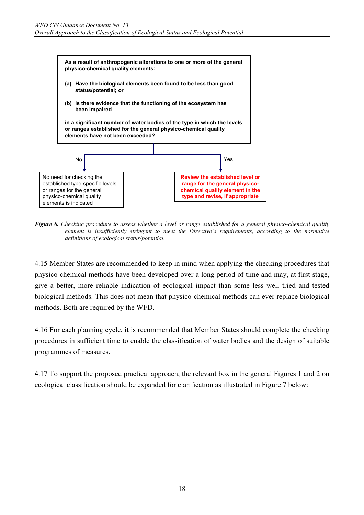

*Figure 6. Checking procedure to assess whether a level or range established for a general physico-chemical quality element is insufficiently stringent to meet the Directive's requirements, according to the normative definitions of ecological status/potential.* 

4.15 Member States are recommended to keep in mind when applying the checking procedures that physico-chemical methods have been developed over a long period of time and may, at first stage, give a better, more reliable indication of ecological impact than some less well tried and tested biological methods. This does not mean that physico-chemical methods can ever replace biological methods. Both are required by the WFD.

4.16 For each planning cycle, it is recommended that Member States should complete the checking procedures in sufficient time to enable the classification of water bodies and the design of suitable programmes of measures.

4.17 To support the proposed practical approach, the relevant box in the general Figures 1 and 2 on ecological classification should be expanded for clarification as illustrated in Figure 7 below: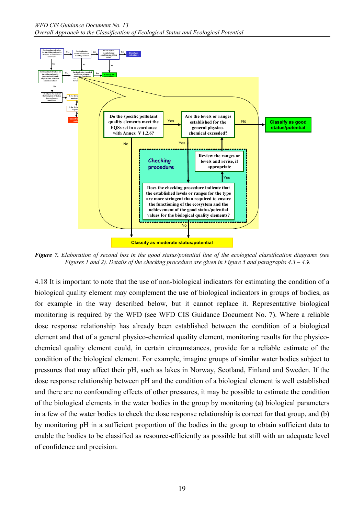

*Figure 7. Elaboration of second box in the good status/potential line of the ecological classification diagrams (see Figures 1 and 2). Details of the checking procedure are given in Figure 5 and paragraphs 4.3 – 4.9.* 

4.18 It is important to note that the use of non-biological indicators for estimating the condition of a biological quality element may complement the use of biological indicators in groups of bodies, as for example in the way described below, but it cannot replace it. Representative biological monitoring is required by the WFD (see WFD CIS Guidance Document No. 7). Where a reliable dose response relationship has already been established between the condition of a biological element and that of a general physico-chemical quality element, monitoring results for the physicochemical quality element could, in certain circumstances, provide for a reliable estimate of the condition of the biological element. For example, imagine groups of similar water bodies subject to pressures that may affect their pH, such as lakes in Norway, Scotland, Finland and Sweden. If the dose response relationship between pH and the condition of a biological element is well established and there are no confounding effects of other pressures, it may be possible to estimate the condition of the biological elements in the water bodies in the group by monitoring (a) biological parameters in a few of the water bodies to check the dose response relationship is correct for that group, and (b) by monitoring pH in a sufficient proportion of the bodies in the group to obtain sufficient data to enable the bodies to be classified as resource-efficiently as possible but still with an adequate level of confidence and precision.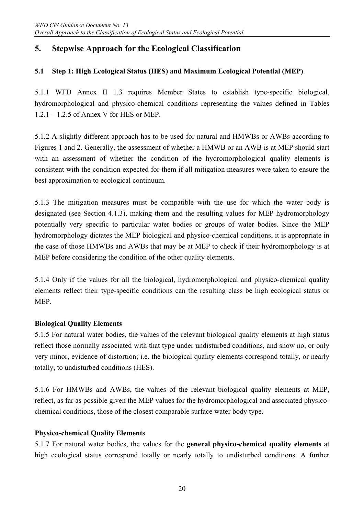# **5. Stepwise Approach for the Ecological Classification**

### **5.1 Step 1: High Ecological Status (HES) and Maximum Ecological Potential (MEP)**

5.1.1 WFD Annex II 1.3 requires Member States to establish type-specific biological, hydromorphological and physico-chemical conditions representing the values defined in Tables 1.2.1 – 1.2.5 of Annex V for HES or MEP.

5.1.2 A slightly different approach has to be used for natural and HMWBs or AWBs according to Figures 1 and 2. Generally, the assessment of whether a HMWB or an AWB is at MEP should start with an assessment of whether the condition of the hydromorphological quality elements is consistent with the condition expected for them if all mitigation measures were taken to ensure the best approximation to ecological continuum.

5.1.3 The mitigation measures must be compatible with the use for which the water body is designated (see Section 4.1.3), making them and the resulting values for MEP hydromorphology potentially very specific to particular water bodies or groups of water bodies. Since the MEP hydromorphology dictates the MEP biological and physico-chemical conditions, it is appropriate in the case of those HMWBs and AWBs that may be at MEP to check if their hydromorphology is at MEP before considering the condition of the other quality elements.

5.1.4 Only if the values for all the biological, hydromorphological and physico-chemical quality elements reflect their type-specific conditions can the resulting class be high ecological status or MEP.

#### **Biological Quality Elements**

5.1.5 For natural water bodies, the values of the relevant biological quality elements at high status reflect those normally associated with that type under undisturbed conditions, and show no, or only very minor, evidence of distortion; i.e. the biological quality elements correspond totally, or nearly totally, to undisturbed conditions (HES).

5.1.6 For HMWBs and AWBs, the values of the relevant biological quality elements at MEP, reflect, as far as possible given the MEP values for the hydromorphological and associated physicochemical conditions, those of the closest comparable surface water body type.

#### **Physico-chemical Quality Elements**

5.1.7 For natural water bodies, the values for the **general physico-chemical quality elements** at high ecological status correspond totally or nearly totally to undisturbed conditions. A further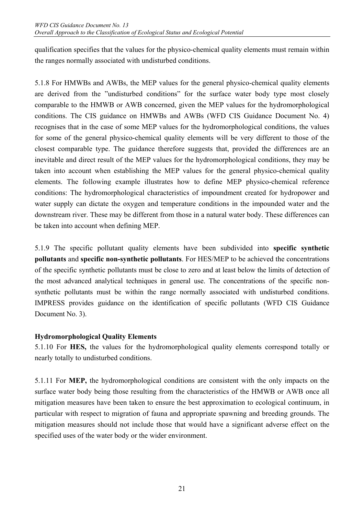qualification specifies that the values for the physico-chemical quality elements must remain within the ranges normally associated with undisturbed conditions.

5.1.8 For HMWBs and AWBs, the MEP values for the general physico-chemical quality elements are derived from the "undisturbed conditions" for the surface water body type most closely comparable to the HMWB or AWB concerned, given the MEP values for the hydromorphological conditions. The CIS guidance on HMWBs and AWBs (WFD CIS Guidance Document No. 4) recognises that in the case of some MEP values for the hydromorphological conditions, the values for some of the general physico-chemical quality elements will be very different to those of the closest comparable type. The guidance therefore suggests that, provided the differences are an inevitable and direct result of the MEP values for the hydromorphological conditions, they may be taken into account when establishing the MEP values for the general physico-chemical quality elements. The following example illustrates how to define MEP physico-chemical reference conditions: The hydromorphological characteristics of impoundment created for hydropower and water supply can dictate the oxygen and temperature conditions in the impounded water and the downstream river. These may be different from those in a natural water body. These differences can be taken into account when defining MEP.

5.1.9 The specific pollutant quality elements have been subdivided into **specific synthetic pollutants** and **specific non-synthetic pollutants**. For HES/MEP to be achieved the concentrations of the specific synthetic pollutants must be close to zero and at least below the limits of detection of the most advanced analytical techniques in general use. The concentrations of the specific nonsynthetic pollutants must be within the range normally associated with undisturbed conditions. IMPRESS provides guidance on the identification of specific pollutants (WFD CIS Guidance Document No. 3).

#### **Hydromorphological Quality Elements**

5.1.10 For **HES,** the values for the hydromorphological quality elements correspond totally or nearly totally to undisturbed conditions.

5.1.11 For **MEP,** the hydromorphological conditions are consistent with the only impacts on the surface water body being those resulting from the characteristics of the HMWB or AWB once all mitigation measures have been taken to ensure the best approximation to ecological continuum, in particular with respect to migration of fauna and appropriate spawning and breeding grounds. The mitigation measures should not include those that would have a significant adverse effect on the specified uses of the water body or the wider environment.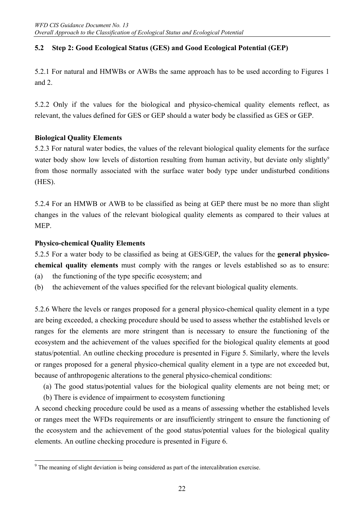### **5.2 Step 2: Good Ecological Status (GES) and Good Ecological Potential (GEP)**

5.2.1 For natural and HMWBs or AWBs the same approach has to be used according to Figures 1 and 2.

5.2.2 Only if the values for the biological and physico-chemical quality elements reflect, as relevant, the values defined for GES or GEP should a water body be classified as GES or GEP.

#### **Biological Quality Elements**

5.2.3 For natural water bodies, the values of the relevant biological quality elements for the surface water body show low levels of distortion resulting from human activity, but deviate only slightly<sup>9</sup> from those normally associated with the surface water body type under undisturbed conditions (HES).

5.2.4 For an HMWB or AWB to be classified as being at GEP there must be no more than slight changes in the values of the relevant biological quality elements as compared to their values at MEP.

#### **Physico-chemical Quality Elements**

5.2.5 For a water body to be classified as being at GES/GEP, the values for the **general physicochemical quality elements** must comply with the ranges or levels established so as to ensure:

- (a) the functioning of the type specific ecosystem; and
- (b) the achievement of the values specified for the relevant biological quality elements.

5.2.6 Where the levels or ranges proposed for a general physico-chemical quality element in a type are being exceeded, a checking procedure should be used to assess whether the established levels or ranges for the elements are more stringent than is necessary to ensure the functioning of the ecosystem and the achievement of the values specified for the biological quality elements at good status/potential. An outline checking procedure is presented in Figure 5. Similarly, where the levels or ranges proposed for a general physico-chemical quality element in a type are not exceeded but, because of anthropogenic alterations to the general physico-chemical conditions:

(a) The good status/potential values for the biological quality elements are not being met; or

(b) There is evidence of impairment to ecosystem functioning

A second checking procedure could be used as a means of assessing whether the established levels or ranges meet the WFDs requirements or are insufficiently stringent to ensure the functioning of the ecosystem and the achievement of the good status/potential values for the biological quality elements. An outline checking procedure is presented in Figure 6.

<sup>&</sup>lt;sup>9</sup> The meaning of slight deviation is being considered as part of the intercalibration exercise.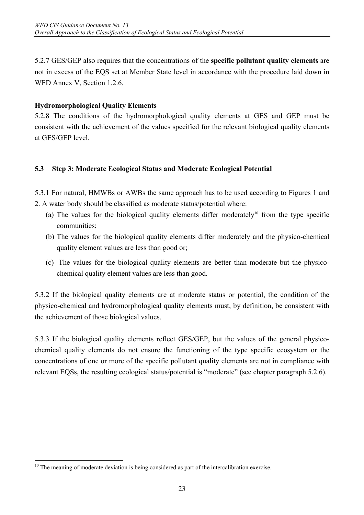5.2.7 GES/GEP also requires that the concentrations of the **specific pollutant quality elements** are not in excess of the EQS set at Member State level in accordance with the procedure laid down in WFD Annex V, Section 1.2.6.

### **Hydromorphological Quality Elements**

5.2.8 The conditions of the hydromorphological quality elements at GES and GEP must be consistent with the achievement of the values specified for the relevant biological quality elements at GES/GEP level.

#### **5.3 Step 3: Moderate Ecological Status and Moderate Ecological Potential**

5.3.1 For natural, HMWBs or AWBs the same approach has to be used according to Figures 1 and 2. A water body should be classified as moderate status/potential where:

- (a) The values for the biological quality elements differ moderately<sup>10</sup> from the type specific communities;
- (b) The values for the biological quality elements differ moderately and the physico-chemical quality element values are less than good or;
- (c) The values for the biological quality elements are better than moderate but the physicochemical quality element values are less than good.

5.3.2 If the biological quality elements are at moderate status or potential, the condition of the physico-chemical and hydromorphological quality elements must, by definition, be consistent with the achievement of those biological values.

5.3.3 If the biological quality elements reflect GES/GEP, but the values of the general physicochemical quality elements do not ensure the functioning of the type specific ecosystem or the concentrations of one or more of the specific pollutant quality elements are not in compliance with relevant EQSs, the resulting ecological status/potential is "moderate" (see chapter paragraph 5.2.6).

 $\overline{a}$  $10$  The meaning of moderate deviation is being considered as part of the intercalibration exercise.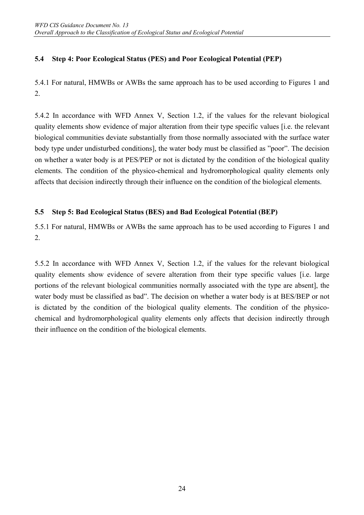### **5.4 Step 4: Poor Ecological Status (PES) and Poor Ecological Potential (PEP)**

5.4.1 For natural, HMWBs or AWBs the same approach has to be used according to Figures 1 and 2.

5.4.2 In accordance with WFD Annex V, Section 1.2, if the values for the relevant biological quality elements show evidence of major alteration from their type specific values [i.e. the relevant biological communities deviate substantially from those normally associated with the surface water body type under undisturbed conditions], the water body must be classified as "poor". The decision on whether a water body is at PES/PEP or not is dictated by the condition of the biological quality elements. The condition of the physico-chemical and hydromorphological quality elements only affects that decision indirectly through their influence on the condition of the biological elements.

#### **5.5 Step 5: Bad Ecological Status (BES) and Bad Ecological Potential (BEP)**

5.5.1 For natural, HMWBs or AWBs the same approach has to be used according to Figures 1 and 2.

5.5.2 In accordance with WFD Annex V, Section 1.2, if the values for the relevant biological quality elements show evidence of severe alteration from their type specific values [i.e. large portions of the relevant biological communities normally associated with the type are absent], the water body must be classified as bad". The decision on whether a water body is at BES/BEP or not is dictated by the condition of the biological quality elements. The condition of the physicochemical and hydromorphological quality elements only affects that decision indirectly through their influence on the condition of the biological elements.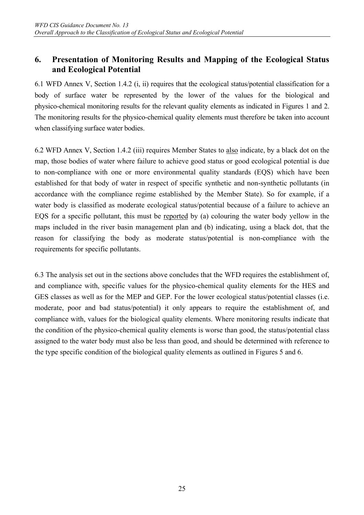## **6. Presentation of Monitoring Results and Mapping of the Ecological Status and Ecological Potential**

6.1 WFD Annex V, Section 1.4.2 (i, ii) requires that the ecological status/potential classification for a body of surface water be represented by the lower of the values for the biological and physico-chemical monitoring results for the relevant quality elements as indicated in Figures 1 and 2. The monitoring results for the physico-chemical quality elements must therefore be taken into account when classifying surface water bodies.

6.2 WFD Annex V, Section 1.4.2 (iii) requires Member States to also indicate, by a black dot on the map, those bodies of water where failure to achieve good status or good ecological potential is due to non-compliance with one or more environmental quality standards (EQS) which have been established for that body of water in respect of specific synthetic and non-synthetic pollutants (in accordance with the compliance regime established by the Member State). So for example, if a water body is classified as moderate ecological status/potential because of a failure to achieve an EQS for a specific pollutant, this must be reported by (a) colouring the water body yellow in the maps included in the river basin management plan and (b) indicating, using a black dot, that the reason for classifying the body as moderate status/potential is non-compliance with the requirements for specific pollutants.

6.3 The analysis set out in the sections above concludes that the WFD requires the establishment of, and compliance with, specific values for the physico-chemical quality elements for the HES and GES classes as well as for the MEP and GEP. For the lower ecological status/potential classes (i.e. moderate, poor and bad status/potential) it only appears to require the establishment of, and compliance with, values for the biological quality elements. Where monitoring results indicate that the condition of the physico-chemical quality elements is worse than good, the status/potential class assigned to the water body must also be less than good, and should be determined with reference to the type specific condition of the biological quality elements as outlined in Figures 5 and 6.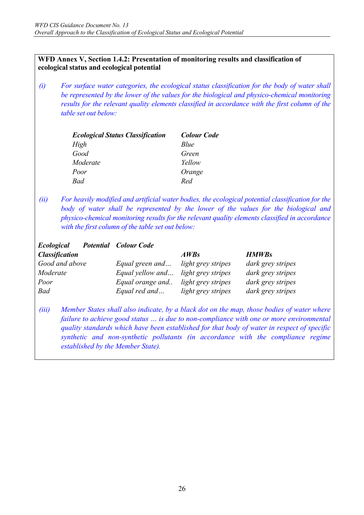#### **WFD Annex V, Section 1.4.2: Presentation of monitoring results and classification of ecological status and ecological potential**

*(i) For surface water categories, the ecological status classification for the body of water shall be represented by the lower of the values for the biological and physico-chemical monitoring results for the relevant quality elements classified in accordance with the first column of the table set out below:* 

| <b>Ecological Status Classification</b> | <b>Colour Code</b> |
|-----------------------------------------|--------------------|
| High                                    | Blue               |
| Good                                    | Green              |
| Moderate                                | Yellow             |
| Poor                                    | Orange             |
| Bad                                     | Red                |

*(ii) For heavily modified and artificial water bodies, the ecological potential classification for the*  body of water shall be represented by the lower of the values for the biological and *physico-chemical monitoring results for the relevant quality elements classified in accordance with the first column of the table set out below:* 

| <b>Ecological</b>     | <b>Potential</b> Colour Code |                    |                                                                                           |
|-----------------------|------------------------------|--------------------|-------------------------------------------------------------------------------------------|
| <b>Classification</b> |                              | AWBs               | <b>HMWBs</b>                                                                              |
| Good and above        | Equal green and              | light grey stripes | dark grey stripes                                                                         |
| Moderate              | Equal yellow and             | light grey stripes | dark grey stripes                                                                         |
| Poor                  | Equal orange and             | light grey stripes | dark grey stripes                                                                         |
| Bad                   | Equal red and                | light grey stripes | dark grey stripes                                                                         |
| (iii)                 |                              |                    | Member States shall also indicate, by a black dot on the map, those bodies of water where |
|                       |                              |                    | failure to achieve good status  is due to non-compliance with one or more environmental   |

*quality standards which have been established for that body of water in respect of specific synthetic and non-synthetic pollutants (in accordance with the compliance regime established by the Member State).*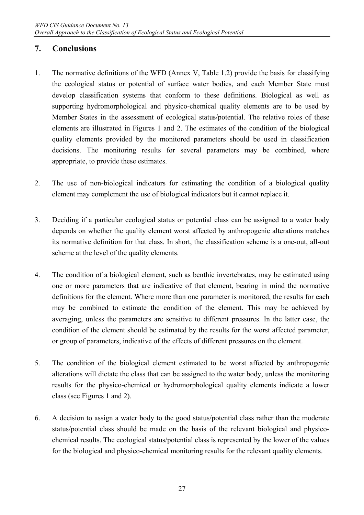## **7. Conclusions**

- 1. The normative definitions of the WFD (Annex V, Table 1.2) provide the basis for classifying the ecological status or potential of surface water bodies, and each Member State must develop classification systems that conform to these definitions. Biological as well as supporting hydromorphological and physico-chemical quality elements are to be used by Member States in the assessment of ecological status/potential. The relative roles of these elements are illustrated in Figures 1 and 2. The estimates of the condition of the biological quality elements provided by the monitored parameters should be used in classification decisions. The monitoring results for several parameters may be combined, where appropriate, to provide these estimates.
- 2. The use of non-biological indicators for estimating the condition of a biological quality element may complement the use of biological indicators but it cannot replace it.
- 3. Deciding if a particular ecological status or potential class can be assigned to a water body depends on whether the quality element worst affected by anthropogenic alterations matches its normative definition for that class. In short, the classification scheme is a one-out, all-out scheme at the level of the quality elements.
- 4. The condition of a biological element, such as benthic invertebrates, may be estimated using one or more parameters that are indicative of that element, bearing in mind the normative definitions for the element. Where more than one parameter is monitored, the results for each may be combined to estimate the condition of the element. This may be achieved by averaging, unless the parameters are sensitive to different pressures. In the latter case, the condition of the element should be estimated by the results for the worst affected parameter, or group of parameters, indicative of the effects of different pressures on the element.
- 5. The condition of the biological element estimated to be worst affected by anthropogenic alterations will dictate the class that can be assigned to the water body, unless the monitoring results for the physico-chemical or hydromorphological quality elements indicate a lower class (see Figures 1 and 2).
- 6. A decision to assign a water body to the good status/potential class rather than the moderate status/potential class should be made on the basis of the relevant biological and physicochemical results. The ecological status/potential class is represented by the lower of the values for the biological and physico-chemical monitoring results for the relevant quality elements.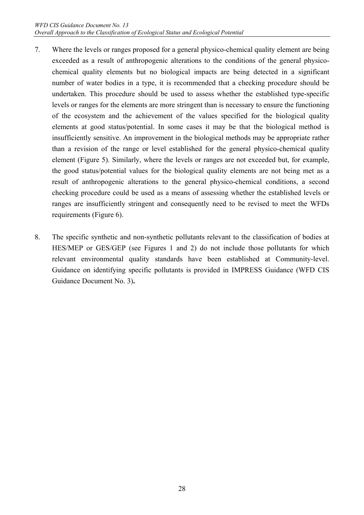- 7. Where the levels or ranges proposed for a general physico-chemical quality element are being exceeded as a result of anthropogenic alterations to the conditions of the general physicochemical quality elements but no biological impacts are being detected in a significant number of water bodies in a type, it is recommended that a checking procedure should be undertaken. This procedure should be used to assess whether the established type-specific levels or ranges for the elements are more stringent than is necessary to ensure the functioning of the ecosystem and the achievement of the values specified for the biological quality elements at good status/potential. In some cases it may be that the biological method is insufficiently sensitive. An improvement in the biological methods may be appropriate rather than a revision of the range or level established for the general physico-chemical quality element (Figure 5). Similarly, where the levels or ranges are not exceeded but, for example, the good status/potential values for the biological quality elements are not being met as a result of anthropogenic alterations to the general physico-chemical conditions, a second checking procedure could be used as a means of assessing whether the established levels or ranges are insufficiently stringent and consequently need to be revised to meet the WFDs requirements (Figure 6).
- 8. The specific synthetic and non-synthetic pollutants relevant to the classification of bodies at HES/MEP or GES/GEP (see Figures 1 and 2) do not include those pollutants for which relevant environmental quality standards have been established at Community-level. Guidance on identifying specific pollutants is provided in IMPRESS Guidance (WFD CIS Guidance Document No. 3)**.**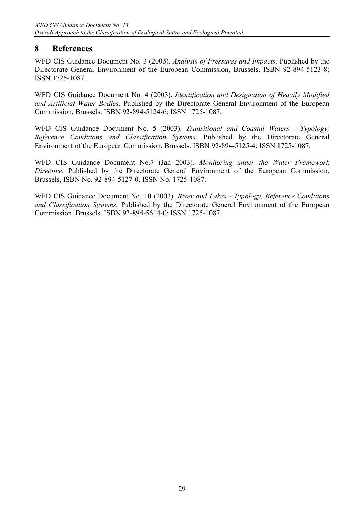## **8 References**

WFD CIS Guidance Document No. 3 (2003). *Analysis of Pressures and Impacts*. Published by the Directorate General Environment of the European Commission, Brussels. ISBN 92-894-5123-8; ISSN 1725-1087.

WFD CIS Guidance Document No. 4 (2003). *Identification and Designation of Heavily Modified and Artificial Water Bodies*. Published by the Directorate General Environment of the European Commission, Brussels. ISBN 92-894-5124-6; ISSN 1725-1087.

WFD CIS Guidance Document No. 5 (2003). *Transitional and Coastal Waters - Typology, Reference Conditions and Classification Systems*. Published by the Directorate General Environment of the European Commission, Brussels. ISBN 92-894-5125-4; ISSN 1725-1087.

WFD CIS Guidance Document No.7 (Jan 2003). *Monitoring under the Water Framework Directive*. Published by the Directorate General Environment of the European Commission, Brussels, ISBN No. 92-894-5127-0, ISSN No. 1725-1087.

WFD CIS Guidance Document No. 10 (2003). *River and Lakes - Typology, Reference Conditions and Classification Systems*. Published by the Directorate General Environment of the European Commission, Brussels. ISBN 92-894-5614-0; ISSN 1725-1087.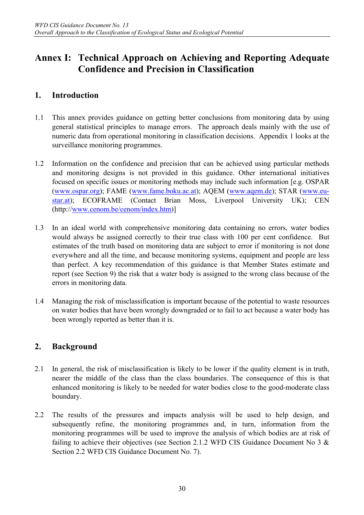# **Annex I: Technical Approach on Achieving and Reporting Adequate Confidence and Precision in Classification**

## **1. Introduction**

- 1.1 This annex provides guidance on getting better conclusions from monitoring data by using general statistical principles to manage errors. The approach deals mainly with the use of numeric data from operational monitoring in classification decisions. Appendix 1 looks at the surveillance monitoring programmes.
- 1.2 Information on the confidence and precision that can be achieved using particular methods and monitoring designs is not provided in this guidance. Other international initiatives focused on specific issues or monitoring methods may include such information [e.g. OSPAR (www.ospar.org); FAME (www.fame.boku.ac.at); AQEM (www.aqem.de); STAR (www.eustar.at); ECOFRAME (Contact Brian Moss, Liverpool University UK); CEN (http://www.cenom.be/cenom/index.htm)]
- 1.3 In an ideal world with comprehensive monitoring data containing no errors, water bodies would always be assigned correctly to their true class with 100 per cent confidence. But estimates of the truth based on monitoring data are subject to error if monitoring is not done everywhere and all the time, and because monitoring systems, equipment and people are less than perfect. A key recommendation of this guidance is that Member States estimate and report (see Section 9) the risk that a water body is assigned to the wrong class because of the errors in monitoring data.
- 1.4 Managing the risk of misclassification is important because of the potential to waste resources on water bodies that have been wrongly downgraded or to fail to act because a water body has been wrongly reported as better than it is.

## **2. Background**

- 2.1 In general, the risk of misclassification is likely to be lower if the quality element is in truth, nearer the middle of the class than the class boundaries. The consequence of this is that enhanced monitoring is likely to be needed for water bodies close to the good-moderate class boundary.
- 2.2 The results of the pressures and impacts analysis will be used to help design, and subsequently refine, the monitoring programmes and, in turn, information from the monitoring programmes will be used to improve the analysis of which bodies are at risk of failing to achieve their objectives (see Section 2.1.2 WFD CIS Guidance Document No 3  $\&$ Section 2.2 WFD CIS Guidance Document No. 7).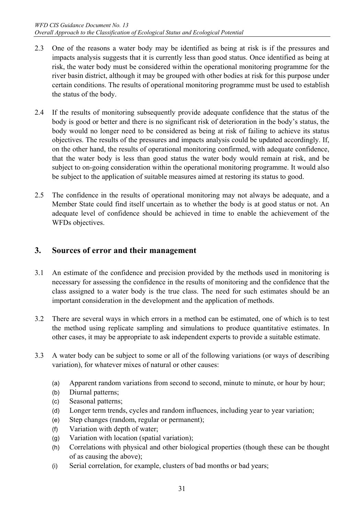- 2.3 One of the reasons a water body may be identified as being at risk is if the pressures and impacts analysis suggests that it is currently less than good status. Once identified as being at risk, the water body must be considered within the operational monitoring programme for the river basin district, although it may be grouped with other bodies at risk for this purpose under certain conditions. The results of operational monitoring programme must be used to establish the status of the body.
- 2.4 If the results of monitoring subsequently provide adequate confidence that the status of the body is good or better and there is no significant risk of deterioration in the body's status, the body would no longer need to be considered as being at risk of failing to achieve its status objectives. The results of the pressures and impacts analysis could be updated accordingly. If, on the other hand, the results of operational monitoring confirmed, with adequate confidence, that the water body is less than good status the water body would remain at risk, and be subject to on-going consideration within the operational monitoring programme. It would also be subject to the application of suitable measures aimed at restoring its status to good.
- 2.5 The confidence in the results of operational monitoring may not always be adequate, and a Member State could find itself uncertain as to whether the body is at good status or not. An adequate level of confidence should be achieved in time to enable the achievement of the WFDs objectives.

## **3. Sources of error and their management**

- 3.1 An estimate of the confidence and precision provided by the methods used in monitoring is necessary for assessing the confidence in the results of monitoring and the confidence that the class assigned to a water body is the true class. The need for such estimates should be an important consideration in the development and the application of methods.
- 3.2 There are several ways in which errors in a method can be estimated, one of which is to test the method using replicate sampling and simulations to produce quantitative estimates. In other cases, it may be appropriate to ask independent experts to provide a suitable estimate.
- 3.3 A water body can be subject to some or all of the following variations (or ways of describing variation), for whatever mixes of natural or other causes:
	- (a) Apparent random variations from second to second, minute to minute, or hour by hour;
	- (b) Diurnal patterns;
	- (c) Seasonal patterns;
	- (d) Longer term trends, cycles and random influences, including year to year variation;
	- (e) Step changes (random, regular or permanent);
	- (f) Variation with depth of water;
	- (g) Variation with location (spatial variation);
	- (h) Correlations with physical and other biological properties (though these can be thought of as causing the above);
	- (i) Serial correlation, for example, clusters of bad months or bad years;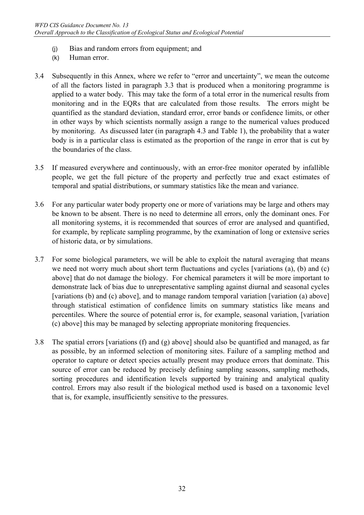- (j) Bias and random errors from equipment; and
- (k) Human error.
- 3.4 Subsequently in this Annex, where we refer to "error and uncertainty", we mean the outcome of all the factors listed in paragraph 3.3 that is produced when a monitoring programme is applied to a water body. This may take the form of a total error in the numerical results from monitoring and in the EQRs that are calculated from those results. The errors might be quantified as the standard deviation, standard error, error bands or confidence limits, or other in other ways by which scientists normally assign a range to the numerical values produced by monitoring. As discussed later (in paragraph 4.3 and Table 1), the probability that a water body is in a particular class is estimated as the proportion of the range in error that is cut by the boundaries of the class.
- 3.5 If measured everywhere and continuously, with an error-free monitor operated by infallible people, we get the full picture of the property and perfectly true and exact estimates of temporal and spatial distributions, or summary statistics like the mean and variance.
- 3.6 For any particular water body property one or more of variations may be large and others may be known to be absent. There is no need to determine all errors, only the dominant ones. For all monitoring systems, it is recommended that sources of error are analysed and quantified, for example, by replicate sampling programme, by the examination of long or extensive series of historic data, or by simulations.
- 3.7 For some biological parameters, we will be able to exploit the natural averaging that means we need not worry much about short term fluctuations and cycles [variations (a), (b) and (c) above] that do not damage the biology. For chemical parameters it will be more important to demonstrate lack of bias due to unrepresentative sampling against diurnal and seasonal cycles [variations (b) and (c) above], and to manage random temporal variation [variation (a) above] through statistical estimation of confidence limits on summary statistics like means and percentiles. Where the source of potential error is, for example, seasonal variation, [variation (c) above] this may be managed by selecting appropriate monitoring frequencies.
- 3.8 The spatial errors [variations (f) and (g) above] should also be quantified and managed, as far as possible, by an informed selection of monitoring sites. Failure of a sampling method and operator to capture or detect species actually present may produce errors that dominate. This source of error can be reduced by precisely defining sampling seasons, sampling methods, sorting procedures and identification levels supported by training and analytical quality control. Errors may also result if the biological method used is based on a taxonomic level that is, for example, insufficiently sensitive to the pressures.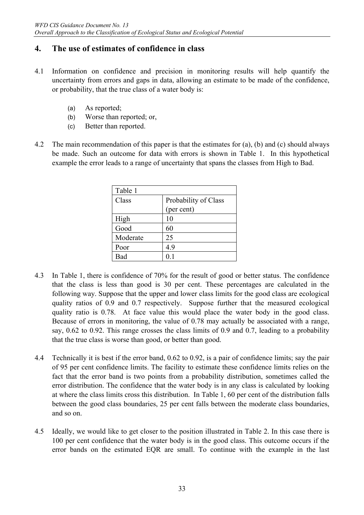## **4. The use of estimates of confidence in class**

- 4.1 Information on confidence and precision in monitoring results will help quantify the uncertainty from errors and gaps in data, allowing an estimate to be made of the confidence, or probability, that the true class of a water body is:
	- (a) As reported;
	- (b) Worse than reported; or,
	- (c) Better than reported.
- 4.2 The main recommendation of this paper is that the estimates for (a), (b) and (c) should always be made. Such an outcome for data with errors is shown in Table 1. In this hypothetical example the error leads to a range of uncertainty that spans the classes from High to Bad.

| Table 1  |                      |
|----------|----------------------|
| Class    | Probability of Class |
|          | (per cent)           |
| High     | 10                   |
| Good     | 60                   |
| Moderate | 25                   |
| Poor     | 4.9                  |
| Bad      | 0.1                  |

- 4.3 In Table 1, there is confidence of 70% for the result of good or better status. The confidence that the class is less than good is 30 per cent. These percentages are calculated in the following way. Suppose that the upper and lower class limits for the good class are ecological quality ratios of 0.9 and 0.7 respectively. Suppose further that the measured ecological quality ratio is 0.78. At face value this would place the water body in the good class. Because of errors in monitoring, the value of 0.78 may actually be associated with a range, say, 0.62 to 0.92. This range crosses the class limits of 0.9 and 0.7, leading to a probability that the true class is worse than good, or better than good.
- 4.4 Technically it is best if the error band, 0.62 to 0.92, is a pair of confidence limits; say the pair of 95 per cent confidence limits. The facility to estimate these confidence limits relies on the fact that the error band is two points from a probability distribution, sometimes called the error distribution. The confidence that the water body is in any class is calculated by looking at where the class limits cross this distribution. In Table 1, 60 per cent of the distribution falls between the good class boundaries, 25 per cent falls between the moderate class boundaries, and so on.
- 4.5 Ideally, we would like to get closer to the position illustrated in Table 2. In this case there is 100 per cent confidence that the water body is in the good class. This outcome occurs if the error bands on the estimated EQR are small. To continue with the example in the last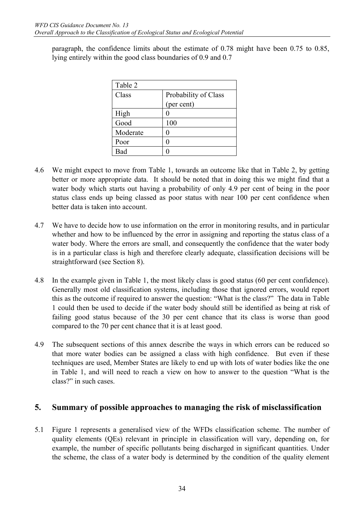paragraph, the confidence limits about the estimate of 0.78 might have been 0.75 to 0.85, lying entirely within the good class boundaries of 0.9 and 0.7

| Table 2  |                      |
|----------|----------------------|
| Class    | Probability of Class |
|          | (per cent)           |
| High     |                      |
| Good     | 100                  |
| Moderate |                      |
| Poor     |                      |
| Bad      |                      |

- 4.6 We might expect to move from Table 1, towards an outcome like that in Table 2, by getting better or more appropriate data. It should be noted that in doing this we might find that a water body which starts out having a probability of only 4.9 per cent of being in the poor status class ends up being classed as poor status with near 100 per cent confidence when better data is taken into account.
- 4.7 We have to decide how to use information on the error in monitoring results, and in particular whether and how to be influenced by the error in assigning and reporting the status class of a water body. Where the errors are small, and consequently the confidence that the water body is in a particular class is high and therefore clearly adequate, classification decisions will be straightforward (see Section 8).
- 4.8 In the example given in Table 1, the most likely class is good status (60 per cent confidence). Generally most old classification systems, including those that ignored errors, would report this as the outcome if required to answer the question: "What is the class?" The data in Table 1 could then be used to decide if the water body should still be identified as being at risk of failing good status because of the 30 per cent chance that its class is worse than good compared to the 70 per cent chance that it is at least good.
- 4.9 The subsequent sections of this annex describe the ways in which errors can be reduced so that more water bodies can be assigned a class with high confidence. But even if these techniques are used, Member States are likely to end up with lots of water bodies like the one in Table 1, and will need to reach a view on how to answer to the question "What is the class?" in such cases.

## **5. Summary of possible approaches to managing the risk of misclassification**

5.1 Figure 1 represents a generalised view of the WFDs classification scheme. The number of quality elements (QEs) relevant in principle in classification will vary, depending on, for example, the number of specific pollutants being discharged in significant quantities. Under the scheme, the class of a water body is determined by the condition of the quality element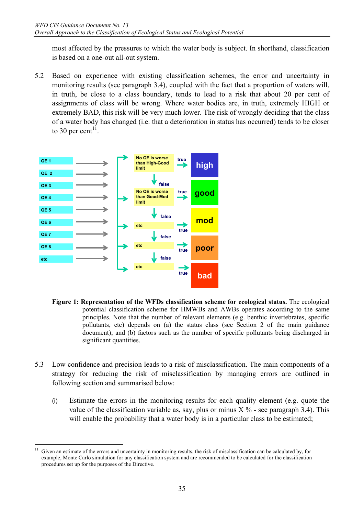most affected by the pressures to which the water body is subject. In shorthand, classification is based on a one-out all-out system.

5.2 Based on experience with existing classification schemes, the error and uncertainty in monitoring results (see paragraph 3.4), coupled with the fact that a proportion of waters will, in truth, be close to a class boundary, tends to lead to a risk that about 20 per cent of assignments of class will be wrong. Where water bodies are, in truth, extremely HIGH or extremely BAD, this risk will be very much lower. The risk of wrongly deciding that the class of a water body has changed (i.e. that a deterioration in status has occurred) tends to be closer to 30 per cent<sup>11</sup>.



- **Figure 1: Representation of the WFDs classification scheme for ecological status.** The ecological potential classification scheme for HMWBs and AWBs operates according to the same principles. Note that the number of relevant elements (e.g. benthic invertebrates, specific pollutants, etc) depends on (a) the status class (see Section 2 of the main guidance document); and (b) factors such as the number of specific pollutants being discharged in significant quantities.
- 5.3 Low confidence and precision leads to a risk of misclassification. The main components of a strategy for reducing the risk of misclassification by managing errors are outlined in following section and summarised below:
	- (i) Estimate the errors in the monitoring results for each quality element (e.g. quote the value of the classification variable as, say, plus or minus  $X$  % - see paragraph 3.4). This will enable the probability that a water body is in a particular class to be estimated;

 $11$ Given an estimate of the errors and uncertainty in monitoring results, the risk of misclassification can be calculated by, for example, Monte Carlo simulation for any classification system and are recommended to be calculated for the classification procedures set up for the purposes of the Directive.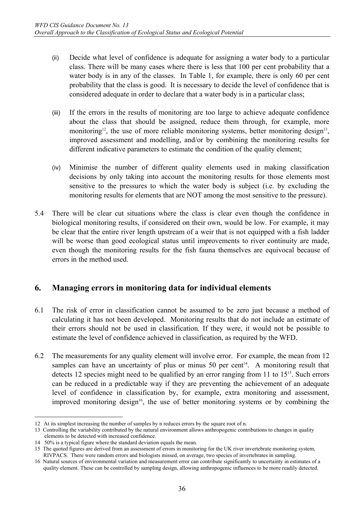- (ii) Decide what level of confidence is adequate for assigning a water body to a particular class. There will be many cases where there is less that 100 per cent probability that a water body is in any of the classes. In Table 1, for example, there is only 60 per cent probability that the class is good. It is necessary to decide the level of confidence that is considered adequate in order to declare that a water body is in a particular class;
- (iii) If the errors in the results of monitoring are too large to achieve adequate confidence about the class that should be assigned, reduce them through, for example, more monitoring<sup>12</sup>, the use of more reliable monitoring systems, better monitoring design<sup>13</sup>, improved assessment and modelling, and/or by combining the monitoring results for different indicative parameters to estimate the condition of the quality element;
- (iv) Minimise the number of different quality elements used in making classification decisions by only taking into account the monitoring results for those elements most sensitive to the pressures to which the water body is subject (i.e. by excluding the monitoring results for elements that are NOT among the most sensitive to the pressure).
- 5.4 There will be clear cut situations where the class is clear even though the confidence in biological monitoring results, if considered on their own, would be low. For example, it may be clear that the entire river length upstream of a weir that is not equipped with a fish ladder will be worse than good ecological status until improvements to river continuity are made, even though the monitoring results for the fish fauna themselves are equivocal because of errors in the method used.

## **6. Managing errors in monitoring data for individual elements**

- 6.1 The risk of error in classification cannot be assumed to be zero just because a method of calculating it has not been developed. Monitoring results that do not include an estimate of their errors should not be used in classification. If they were, it would not be possible to estimate the level of confidence achieved in classification, as required by the WFD.
- 6.2 The measurements for any quality element will involve error. For example, the mean from 12 samples can have an uncertainty of plus or minus 50 per cent<sup>14</sup>. A monitoring result that detects 12 species might need to be qualified by an error ranging from 11 to 15<sup>15</sup>. Such errors can be reduced in a predictable way if they are preventing the achievement of an adequate level of confidence in classification by, for example, extra monitoring and assessment, improved monitoring design<sup>16</sup>, the use of better monitoring systems or by combining the

 $\overline{a}$ 

<sup>12</sup> At its simplest increasing the number of samples by n reduces errors by the square root of n.

<sup>13</sup> Controlling the variability contributed by the natural environment allows anthropogenic contributions to changes in quality elements to be detected with increased confidence.

<sup>14 50%</sup> is a typical figure where the standard deviation equals the mean.

<sup>15</sup> The quoted figures are derived from an assessment of errors in monitoring for the UK river invertebrate monitoring system, RIVPACS. There were random errors and biologists missed, on average, two species of invertebrates in sampling.

<sup>16</sup> Natural sources of environmental variation and measurement error can contribute significantly to uncertainty in estimates of a quality element. These can be controlled by sampling design, allowing anthropogenic influences to be more readily detected.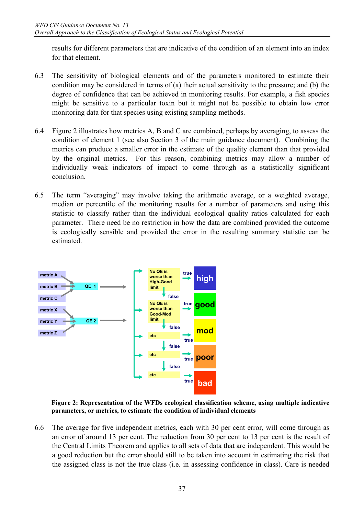results for different parameters that are indicative of the condition of an element into an index for that element.

- 6.3 The sensitivity of biological elements and of the parameters monitored to estimate their condition may be considered in terms of (a) their actual sensitivity to the pressure; and (b) the degree of confidence that can be achieved in monitoring results. For example, a fish species might be sensitive to a particular toxin but it might not be possible to obtain low error monitoring data for that species using existing sampling methods.
- 6.4 Figure 2 illustrates how metrics A, B and C are combined, perhaps by averaging, to assess the condition of element 1 (see also Section 3 of the main guidance document). Combining the metrics can produce a smaller error in the estimate of the quality element than that provided by the original metrics. For this reason, combining metrics may allow a number of individually weak indicators of impact to come through as a statistically significant conclusion.
- 6.5 The term "averaging" may involve taking the arithmetic average, or a weighted average, median or percentile of the monitoring results for a number of parameters and using this statistic to classify rather than the individual ecological quality ratios calculated for each parameter. There need be no restriction in how the data are combined provided the outcome is ecologically sensible and provided the error in the resulting summary statistic can be estimated.



**Figure 2: Representation of the WFDs ecological classification scheme, using multiple indicative parameters, or metrics, to estimate the condition of individual elements** 

6.6 The average for five independent metrics, each with 30 per cent error, will come through as an error of around 13 per cent. The reduction from 30 per cent to 13 per cent is the result of the Central Limits Theorem and applies to all sets of data that are independent. This would be a good reduction but the error should still to be taken into account in estimating the risk that the assigned class is not the true class (i.e. in assessing confidence in class). Care is needed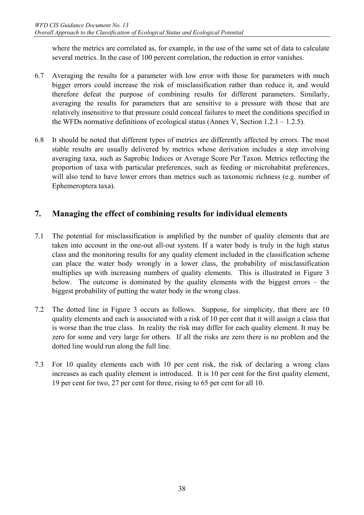where the metrics are correlated as, for example, in the use of the same set of data to calculate several metrics. In the case of 100 percent correlation, the reduction in error vanishes.

- 6.7 Averaging the results for a parameter with low error with those for parameters with much bigger errors could increase the risk of misclassification rather than reduce it, and would therefore defeat the purpose of combining results for different parameters. Similarly, averaging the results for parameters that are sensitive to a pressure with those that are relatively insensitive to that pressure could conceal failures to meet the conditions specified in the WFDs normative definitions of ecological status (Annex V, Section  $1.2.1 - 1.2.5$ ).
- 6.8 It should be noted that different types of metrics are differently affected by errors. The most stable results are usually delivered by metrics whose derivation includes a step involving averaging taxa, such as Saprobic Indices or Average Score Per Taxon. Metrics reflecting the proportion of taxa with particular preferences, such as feeding or microhabitat preferences, will also tend to have lower errors than metrics such as taxonomic richness (e.g. number of Ephemeroptera taxa).

## **7. Managing the effect of combining results for individual elements**

- 7.1 The potential for misclassification is amplified by the number of quality elements that are taken into account in the one-out all-out system. If a water body is truly in the high status class and the monitoring results for any quality element included in the classification scheme can place the water body wrongly in a lower class, the probability of misclassification multiplies up with increasing numbers of quality elements. This is illustrated in Figure 3 below. The outcome is dominated by the quality elements with the biggest errors – the biggest probability of putting the water body in the wrong class.
- 7.2 The dotted line in Figure 3 occurs as follows. Suppose, for simplicity, that there are 10 quality elements and each is associated with a risk of 10 per cent that it will assign a class that is worse than the true class. In reality the risk may differ for each quality element. It may be zero for some and very large for others. If all the risks are zero there is no problem and the dotted line would run along the full line.
- 7.3 For 10 quality elements each with 10 per cent risk, the risk of declaring a wrong class increases as each quality element is introduced. It is 10 per cent for the first quality element, 19 per cent for two, 27 per cent for three, rising to 65 per cent for all 10.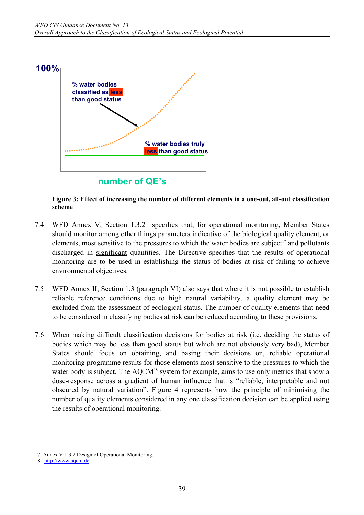

**Figure 3: Effect of increasing the number of different elements in a one-out, all-out classification scheme** 

- 7.4 WFD Annex V, Section 1.3.2 specifies that, for operational monitoring, Member States should monitor among other things parameters indicative of the biological quality element, or elements, most sensitive to the pressures to which the water bodies are subject<sup>17</sup> and pollutants discharged in significant quantities. The Directive specifies that the results of operational monitoring are to be used in establishing the status of bodies at risk of failing to achieve environmental objectives.
- 7.5 WFD Annex II, Section 1.3 (paragraph VI) also says that where it is not possible to establish reliable reference conditions due to high natural variability, a quality element may be excluded from the assessment of ecological status. The number of quality elements that need to be considered in classifying bodies at risk can be reduced according to these provisions.
- 7.6 When making difficult classification decisions for bodies at risk (i.e. deciding the status of bodies which may be less than good status but which are not obviously very bad), Member States should focus on obtaining, and basing their decisions on, reliable operational monitoring programme results for those elements most sensitive to the pressures to which the water body is subject. The AQEM<sup>18</sup> system for example, aims to use only metrics that show a dose-response across a gradient of human influence that is "reliable, interpretable and not obscured by natural variation". Figure 4 represents how the principle of minimising the number of quality elements considered in any one classification decision can be applied using the results of operational monitoring.

 $\overline{a}$ 17 Annex V 1.3.2 Design of Operational Monitoring.

<sup>18</sup> http://www.aqem.de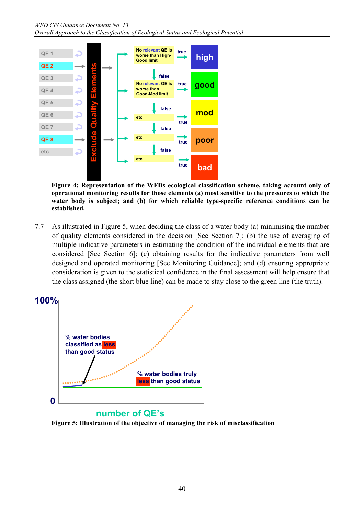

**Figure 4: Representation of the WFDs ecological classification scheme, taking account only of operational monitoring results for those elements (a) most sensitive to the pressures to which the water body is subject; and (b) for which reliable type-specific reference conditions can be established.** 

7.7 As illustrated in Figure 5, when deciding the class of a water body (a) minimising the number of quality elements considered in the decision [See Section 7]; (b) the use of averaging of multiple indicative parameters in estimating the condition of the individual elements that are considered [See Section 6]; (c) obtaining results for the indicative parameters from well designed and operated monitoring [See Monitoring Guidance]; and (d) ensuring appropriate consideration is given to the statistical confidence in the final assessment will help ensure that the class assigned (the short blue line) can be made to stay close to the green line (the truth).



## **number of QE's**

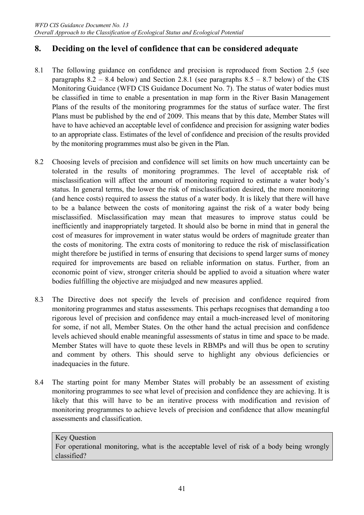## **8. Deciding on the level of confidence that can be considered adequate**

- 8.1 The following guidance on confidence and precision is reproduced from Section 2.5 (see paragraphs  $8.2 - 8.4$  below) and Section 2.8.1 (see paragraphs  $8.5 - 8.7$  below) of the CIS Monitoring Guidance (WFD CIS Guidance Document No. 7). The status of water bodies must be classified in time to enable a presentation in map form in the River Basin Management Plans of the results of the monitoring programmes for the status of surface water. The first Plans must be published by the end of 2009. This means that by this date, Member States will have to have achieved an acceptable level of confidence and precision for assigning water bodies to an appropriate class. Estimates of the level of confidence and precision of the results provided by the monitoring programmes must also be given in the Plan.
- 8.2 Choosing levels of precision and confidence will set limits on how much uncertainty can be tolerated in the results of monitoring programmes. The level of acceptable risk of misclassification will affect the amount of monitoring required to estimate a water body's status. In general terms, the lower the risk of misclassification desired, the more monitoring (and hence costs) required to assess the status of a water body. It is likely that there will have to be a balance between the costs of monitoring against the risk of a water body being misclassified. Misclassification may mean that measures to improve status could be inefficiently and inappropriately targeted. It should also be borne in mind that in general the cost of measures for improvement in water status would be orders of magnitude greater than the costs of monitoring. The extra costs of monitoring to reduce the risk of misclassification might therefore be justified in terms of ensuring that decisions to spend larger sums of money required for improvements are based on reliable information on status. Further, from an economic point of view, stronger criteria should be applied to avoid a situation where water bodies fulfilling the objective are misjudged and new measures applied.
- 8.3 The Directive does not specify the levels of precision and confidence required from monitoring programmes and status assessments. This perhaps recognises that demanding a too rigorous level of precision and confidence may entail a much-increased level of monitoring for some, if not all, Member States. On the other hand the actual precision and confidence levels achieved should enable meaningful assessments of status in time and space to be made. Member States will have to quote these levels in RBMPs and will thus be open to scrutiny and comment by others. This should serve to highlight any obvious deficiencies or inadequacies in the future.
- 8.4 The starting point for many Member States will probably be an assessment of existing monitoring programmes to see what level of precision and confidence they are achieving. It is likely that this will have to be an iterative process with modification and revision of monitoring programmes to achieve levels of precision and confidence that allow meaningful assessments and classification.

Key Question For operational monitoring, what is the acceptable level of risk of a body being wrongly classified?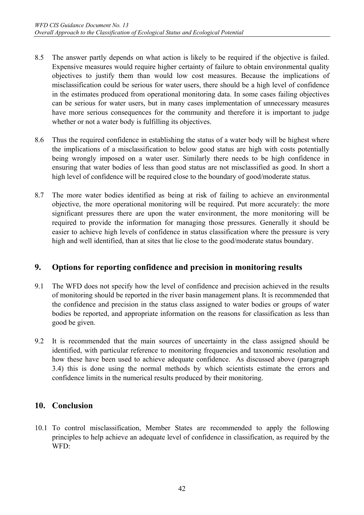- 8.5 The answer partly depends on what action is likely to be required if the objective is failed. Expensive measures would require higher certainty of failure to obtain environmental quality objectives to justify them than would low cost measures. Because the implications of misclassification could be serious for water users, there should be a high level of confidence in the estimates produced from operational monitoring data. In some cases failing objectives can be serious for water users, but in many cases implementation of unnecessary measures have more serious consequences for the community and therefore it is important to judge whether or not a water body is fulfilling its objectives.
- 8.6 Thus the required confidence in establishing the status of a water body will be highest where the implications of a misclassification to below good status are high with costs potentially being wrongly imposed on a water user. Similarly there needs to be high confidence in ensuring that water bodies of less than good status are not misclassified as good. In short a high level of confidence will be required close to the boundary of good/moderate status.
- 8.7 The more water bodies identified as being at risk of failing to achieve an environmental objective, the more operational monitoring will be required. Put more accurately: the more significant pressures there are upon the water environment, the more monitoring will be required to provide the information for managing those pressures. Generally it should be easier to achieve high levels of confidence in status classification where the pressure is very high and well identified, than at sites that lie close to the good/moderate status boundary.

## **9. Options for reporting confidence and precision in monitoring results**

- 9.1 The WFD does not specify how the level of confidence and precision achieved in the results of monitoring should be reported in the river basin management plans. It is recommended that the confidence and precision in the status class assigned to water bodies or groups of water bodies be reported, and appropriate information on the reasons for classification as less than good be given.
- 9.2 It is recommended that the main sources of uncertainty in the class assigned should be identified, with particular reference to monitoring frequencies and taxonomic resolution and how these have been used to achieve adequate confidence. As discussed above (paragraph 3.4) this is done using the normal methods by which scientists estimate the errors and confidence limits in the numerical results produced by their monitoring.

## **10. Conclusion**

10.1 To control misclassification, Member States are recommended to apply the following principles to help achieve an adequate level of confidence in classification, as required by the WFD: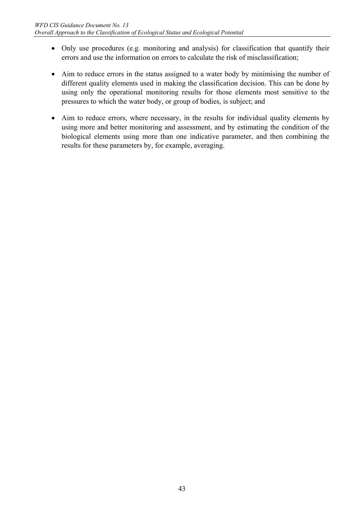- Only use procedures (e.g. monitoring and analysis) for classification that quantify their errors and use the information on errors to calculate the risk of misclassification;
- Aim to reduce errors in the status assigned to a water body by minimising the number of different quality elements used in making the classification decision. This can be done by using only the operational monitoring results for those elements most sensitive to the pressures to which the water body, or group of bodies, is subject; and
- Aim to reduce errors, where necessary, in the results for individual quality elements by using more and better monitoring and assessment, and by estimating the condition of the biological elements using more than one indicative parameter, and then combining the results for these parameters by, for example, averaging.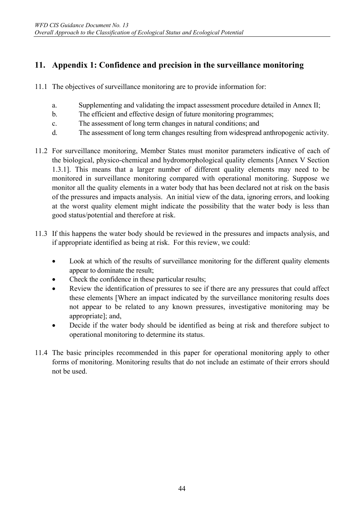## **11. Appendix 1: Confidence and precision in the surveillance monitoring**

- 11.1 The objectives of surveillance monitoring are to provide information for:
	- a. Supplementing and validating the impact assessment procedure detailed in Annex II;
	- b. The efficient and effective design of future monitoring programmes;
	- c. The assessment of long term changes in natural conditions; and
	- d. The assessment of long term changes resulting from widespread anthropogenic activity.
- 11.2 For surveillance monitoring, Member States must monitor parameters indicative of each of the biological, physico-chemical and hydromorphological quality elements [Annex V Section 1.3.1]. This means that a larger number of different quality elements may need to be monitored in surveillance monitoring compared with operational monitoring. Suppose we monitor all the quality elements in a water body that has been declared not at risk on the basis of the pressures and impacts analysis. An initial view of the data, ignoring errors, and looking at the worst quality element might indicate the possibility that the water body is less than good status/potential and therefore at risk.
- 11.3 If this happens the water body should be reviewed in the pressures and impacts analysis, and if appropriate identified as being at risk. For this review, we could:
	- Look at which of the results of surveillance monitoring for the different quality elements appear to dominate the result;
	- Check the confidence in these particular results;
	- Review the identification of pressures to see if there are any pressures that could affect these elements [Where an impact indicated by the surveillance monitoring results does not appear to be related to any known pressures, investigative monitoring may be appropriate]; and,
	- Decide if the water body should be identified as being at risk and therefore subject to operational monitoring to determine its status.
- 11.4 The basic principles recommended in this paper for operational monitoring apply to other forms of monitoring. Monitoring results that do not include an estimate of their errors should not be used.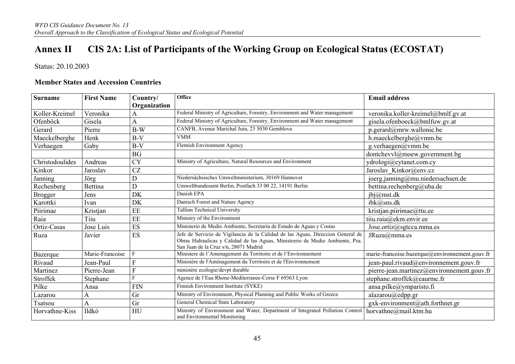# **Annex II CIS 2A: List of Participants of the Working Group on Ecological Status (ECOSTAT)**

Status: 20.10.2003

#### **Member States and Accession Countries**

| <b>Surname</b>  | <b>First Name</b> | Country/       | Office                                                                                                                                                                                                    | <b>Email address</b>                           |
|-----------------|-------------------|----------------|-----------------------------------------------------------------------------------------------------------------------------------------------------------------------------------------------------------|------------------------------------------------|
|                 |                   | Organization   |                                                                                                                                                                                                           |                                                |
| Koller-Kreimel  | Veronika          | A              | Federal Ministry of Agriculture, Forestry, Environment and Water management                                                                                                                               | veronika.koller-kreimel@bmlf.gv.at             |
| Ofenböck        | Gisela            | A              | Federal Ministry of Agriculture, Forestry, Environment and Water management                                                                                                                               | gisela.ofenboeck@bmlfuw.gv.at                  |
| Gerard          | Pierre            | $B-W$          | CANFB, Avenue Marichal Juin, 23 5030 Gemblova                                                                                                                                                             | $p.$ gerard@mrw.wallonie.be                    |
| Maeckelberghe   | Henk              | $B-V$          | <b>VMM</b>                                                                                                                                                                                                | h.maeckelberghe@vmm.be                         |
| Verhaegen       | Gaby              | $B-V$          | Flemish Environment Agency                                                                                                                                                                                | g.verhaegen@vmm.be                             |
|                 |                   | BG             |                                                                                                                                                                                                           | dontchevvl@moew.government.bg                  |
| Christodoulides | Andreas           | <b>CY</b>      | Ministry of Agriculture, Natural Resources and Environment                                                                                                                                                | ydrologi@cytanet.com.cy                        |
| Kinkor          | Jaroslav          | <b>CZ</b>      |                                                                                                                                                                                                           | Jaroslav Kinkor@env.cz                         |
| Janning         | Jörg              | D              | Niedersächsisches Umweltministerium, 30169 Hannover                                                                                                                                                       | joerg.janning@mu.niedersachsen.de              |
| Rechenberg      | Bettina           | D              | Umweltbundesamt Berlin, Postfach 33 00 22, 14191 Berlin                                                                                                                                                   | bettina.rechenberg@uba.de                      |
| <b>Brogger</b>  | Jens              | DK             | Danish EPA                                                                                                                                                                                                | ibj@mst.dk                                     |
| Karottki        | Ivan              | DK             | Danisch Forest and Nature Agency                                                                                                                                                                          | ibk@ans.dk                                     |
| Piirimae        | Kristjan          | EE             | <b>Tallinn Technical University</b>                                                                                                                                                                       | kristjan.piirimae@ttu.ee                       |
| Raia            | Tiiu              | EE             | Ministry of the Environment                                                                                                                                                                               | tiiu.raia@ekm.envir.ee                         |
| Ortiz-Casas     | Jose Luis         | ES             | Ministerio de Medio Ambiente, Secretaría de Estado de Aguas y Costas                                                                                                                                      | Jose.ortiz@sgtcca.mma.es                       |
| Ruza            | Javier            | ES             | Jefe de Servicio de Vigilancia de la Calidad de las Aguas, Direccion General de<br>Obras Hidraulicas y Calidad de las Aguas, Ministrerio de Medio Ambiente, Pza.<br>San Juan de la Cruz s/n, 28071 Madrid | JRuza@mma.es                                   |
| Bazerque        | Marie-Francoise   |                | Ministere de l'Amenagement du Territoire et de l'Environnement                                                                                                                                            | marie-francoise.bazerque@environnement.gouv.fr |
| Rivaud          | Jean-Paul         | F              | Ministère de l'Aménagement du Territoire et de l'Environnement                                                                                                                                            | jean-paul.rivaud@environnement.gouv.fr         |
| Martinez        | Pierre-Jean       | $\overline{F}$ | ministère ecologie/devpt durable                                                                                                                                                                          | pierre-jean.martinez@environnement.gouv.fr     |
| Stroffek        | Stephane          |                | Agence de l'Eau Rhone-Mediterranee-Corse F 69363 Lyon                                                                                                                                                     | stephane.stroffek@eaurmc.fr                    |
| Pilke           | Ansa              | <b>FIN</b>     | Finnish Environment Institute (SYKE)                                                                                                                                                                      | ansa.pilke@ymparisto.fi                        |
| Lazarou         | A                 | Gr             | Ministry of Environment, Physical Planning and Public Works of Greece                                                                                                                                     | alazarou@edpp.gr                               |
| <b>Tsatsou</b>  | A                 | Gr             | General Chemical State Laboratory                                                                                                                                                                         | gxk-environment@ath.forthnet.gr                |
| Horvathne-Kiss  | Ildkó             | HU             | Ministry of Environment and Water, Department of Integrated Pollution Control<br>and Environmental Monitoring                                                                                             | horvathne@mail.ktm.hu                          |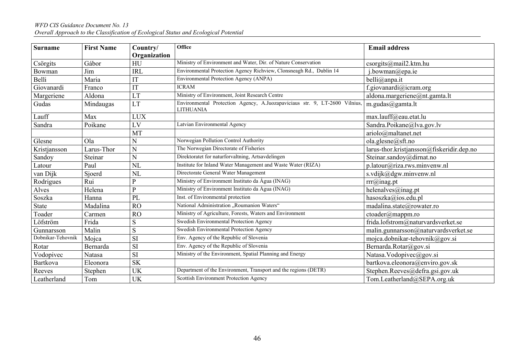# *WFD CIS Guidance Document No. 13 Overall Approach to the Classification of Ecological Status and Ecological Potential*

| <b>Surname</b>    | <b>First Name</b> | Country/           | <b>Office</b>                                                                                  | <b>Email address</b>                      |
|-------------------|-------------------|--------------------|------------------------------------------------------------------------------------------------|-------------------------------------------|
|                   | Gábor             | Organization<br>HU | Ministry of Environment and Water, Dir. of Nature Conservation                                 | csorgits@mail2.ktm.hu                     |
| Csörgits          | Jim               | <b>IRL</b>         | Environmental Protection Agency Richview, Clonsneagh Rd., Dublin 14                            |                                           |
| Bowman<br>Belli   | Maria             |                    | Environmental Protection Agency (ANPA)                                                         | j.bowman@epa.ie                           |
|                   |                   | IT                 | <b>ICRAM</b>                                                                                   | belli@anpa.it                             |
| Giovanardi        | Franco            | IT                 |                                                                                                | f.giovanardi@icram.org                    |
| Margeriene        | Aldona            | LT                 | Ministry of Environment, Joint Research Centre                                                 | aldona.margeriene@nt.gamta.lt             |
| Gudas             | Mindaugas         | LT                 | Environmental Protection Agency, A.Juozapaviciaus str. 9, LT-2600 Vilnius,<br><b>LITHUANIA</b> | m.gudas@gamta.lt                          |
| Lauff             | Max               | <b>LUX</b>         |                                                                                                | max.lauff@eau.etat.lu                     |
| Sandra            | Poikane           | LV                 | Latvian Environmental Agency                                                                   | Sandra.Poikane@lva.gov.lv                 |
|                   |                   | MT                 |                                                                                                | arido@maltanet.net                        |
| Glesne            | Ola               | Ń                  | Norwegian Pollution Control Authority                                                          | ola.glesne@sft.no                         |
| Kristjansson      | Larus-Thor        | N                  | The Norwegian Directorate of Fisheries                                                         | larus-thor.kristjansson@fiskeridir.dep.no |
| Sandoy            | Steinar           | N                  | Direktoratet for naturforvaltning, Artsavdelingen                                              | Steinar.sandoy@dirnat.no                  |
| Latour            | Paul              | <b>NL</b>          | Institute for Inland Water Management and Waste Water (RIZA)                                   | $p$ .latour@riza.rws.minvenw.nl           |
| van Dijk          | Sjoerd            | NL                 | Directorate General Water Management                                                           | s.vdijk@dgw.minvenw.nl                    |
| Rodrigues         | Rui               | P                  | Ministry of Environment Instituto da Água (INAG)                                               | $rrr(a)$ inag.pt                          |
| Alves             | Helena            | P                  | Ministry of Environment Instituto da Água (INAG)                                               | helenalves@inag.pt                        |
| Soszka            | Hanna             | PL                 | Inst. of Environmental protection                                                              | hasoszka@ios.edu.pl                       |
| <b>State</b>      | Madalina          | RO                 | National Administration "Roumanion Waters"                                                     | madalina.state@rowater.ro                 |
| Toader            | Carmen            | <b>RO</b>          | Ministry of Agriculture, Forests, Waters and Environment                                       | $ctoader(a)$ mappm.ro                     |
| Löfström          | Frida             | S                  | Swedish Environmental Protection Agency                                                        | frida.lofstrom@naturvardsverket.se        |
| Gunnarsson        | Malin             | S                  | Swedish Environmental Protection Agency                                                        | malin.gunnarsson@naturvardsverket.se      |
| Dobnikar-Tehovnik | Mojca             | <b>SI</b>          | Env. Agency of the Republic of Slovenia                                                        | mojca.dobnikar-tehovnik@gov.si            |
| Rotar             | Bernarda          | SI                 | Env. Agency of the Republic of Slovenia                                                        | Bernarda.Rotar@gov.si                     |
| Vodopivec         | Natasa            | $\overline{SI}$    | Ministry of the Environment, Spatial Planning and Energy                                       | Natasa. Vodopivec@gov.si                  |
| Bartkova          | Eleonora          | <b>SK</b>          |                                                                                                | bartkova.eleonora@enviro.gov.sk           |
| Reeves            | Stephen           | UK                 | Department of the Environment, Transport and the regions (DETR)                                | Stephen.Reeves@defra.gsi.gov.uk           |
| Leatherland       | Tom               | <b>UK</b>          | Scottish Environment Protection Agency                                                         | Tom.Leatherland@SEPA.org.uk               |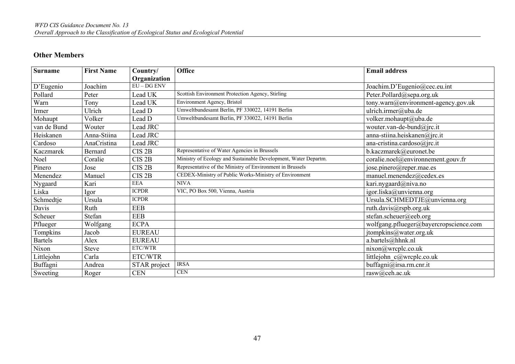#### **Other Members**

| <b>Surname</b> | <b>First Name</b> | Country/          | <b>Office</b>                                                   | <b>Email address</b>                   |
|----------------|-------------------|-------------------|-----------------------------------------------------------------|----------------------------------------|
|                |                   | Organization      |                                                                 |                                        |
| D'Eugenio      | Joachim           | $EU$ – $DG$ $ENV$ |                                                                 | Joachim.D'Eugenio@cec.eu.int           |
| Pollard        | Peter             | Lead UK           | Scottish Environment Protection Agency, Stirling                | Peter.Pollard@sepa.org.uk              |
| Warn           | Tony              | Lead UK           | Environment Agency, Bristol                                     | tony.warn@environment-agency.gov.uk    |
| Irmer          | Ulrich            | Lead D            | Umweltbundesamt Berlin, PF 330022, 14191 Berlin                 | ulrich.irmer@uba.de                    |
| Mohaupt        | Volker            | Lead D            | Umweltbundesamt Berlin, PF 330022, 14191 Berlin                 | volker.mohaupt@uba.de                  |
| van de Bund    | Wouter            | Lead JRC          |                                                                 | wouter.van-de-bund@jrc.it              |
| Heiskanen      | Anna-Stiina       | Lead JRC          |                                                                 | anna-stiina.heiskanen@jrc.it           |
| Cardoso        | AnaCristina       | Lead JRC          |                                                                 | ana-cristina.cardoso $\omega$ jrc.it   |
| Kaczmarek      | Bernard           | CIS <sub>2B</sub> | Representative of Water Agencies in Brussels                    | b.kaczmarek@euronet.be                 |
| Noel           | Coralie           | CIS <sub>2B</sub> | Ministry of Ecology and Sustainable Development, Water Departm. | coralie.noel@environnement.gouv.fr     |
| Pinero         | Jose              | CIS <sub>2B</sub> | Representative of the Ministry of Environment in Brussels       | jose.pinero@reper.mae.es               |
| Menendez       | Manuel            | CIS <sub>2B</sub> | CEDEX-Ministry of Public Works-Ministry of Environment          | manuel.menendez@cedex.es               |
| Nygaard        | Kari              | <b>EEA</b>        | <b>NIVA</b>                                                     | kari.nygaard@niva.no                   |
| Liska          | Igor              | <b>ICPDR</b>      | VIC, PO Box 500, Vienna, Austria                                | igor.liska@unvienna.org                |
| Schmedtje      | Ursula            | <b>ICPDR</b>      |                                                                 | Ursula.SCHMEDTJE@unvienna.org          |
| Davis          | Ruth              | <b>EEB</b>        |                                                                 | ruth.davis@rspb.org.uk                 |
| Scheuer        | Stefan            | <b>EEB</b>        |                                                                 | stefan.scheuer@eeb.org                 |
| Pflueger       | Wolfgang          | <b>ECPA</b>       |                                                                 | wolfgang.pflueger@bayercropscience.com |
| Tompkins       | Jacob             | <b>EUREAU</b>     |                                                                 | jtompkins@water.org.uk                 |
| <b>Bartels</b> | Alex              | <b>EUREAU</b>     |                                                                 | a.bartels@hhnk.nl                      |
| Nixon          | <b>Steve</b>      | ETC/WTR           |                                                                 | nixon@wrcplc.co.uk                     |
| Littlejohn     | Carla             | ETC/WTR           |                                                                 | littlejohn c@wrcplc.co.uk              |
| Buffagni       | Andrea            | STAR project      | <b>IRSA</b>                                                     | buffagni@irsa.rm.cnr.it                |
| Sweeting       | Roger             | <b>CEN</b>        | <b>CEN</b>                                                      | rasw@ceh.ac.uk                         |